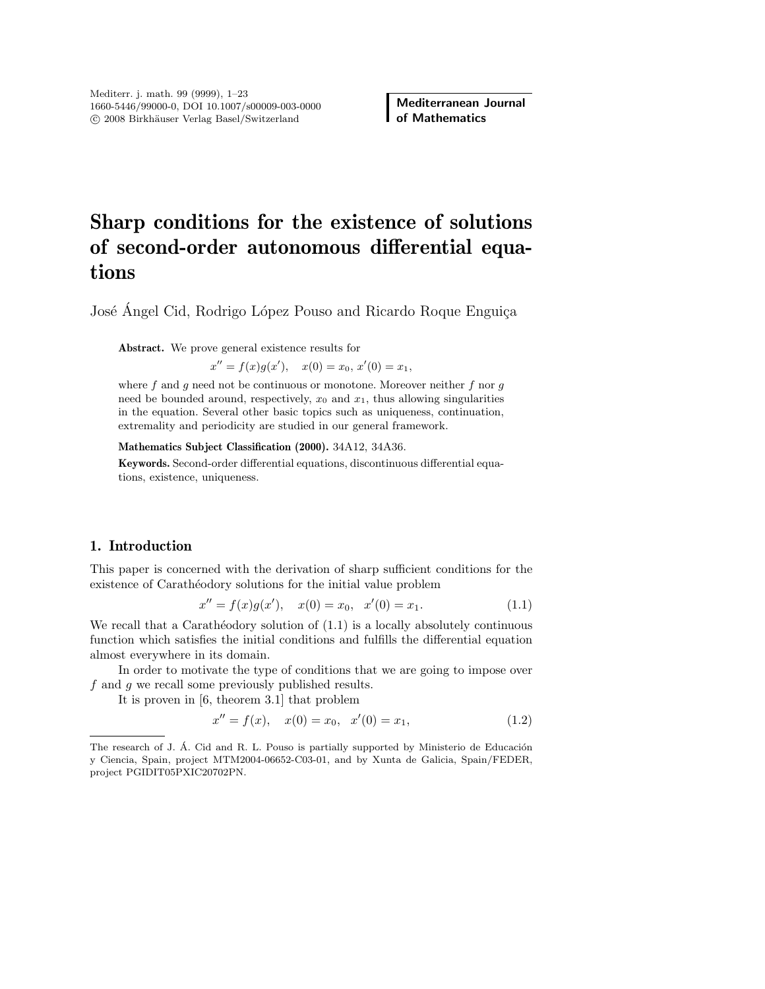# Sharp conditions for the existence of solutions of second-order autonomous differential equations

José Ángel Cid, Rodrigo López Pouso and Ricardo Roque Enguiça

Abstract. We prove general existence results for

 $x'' = f(x)g(x'), \quad x(0) = x_0, x'(0) = x_1,$ 

where  $f$  and  $g$  need not be continuous or monotone. Moreover neither  $f$  nor  $g$ need be bounded around, respectively,  $x_0$  and  $x_1$ , thus allowing singularities in the equation. Several other basic topics such as uniqueness, continuation, extremality and periodicity are studied in our general framework.

Mathematics Subject Classification (2000). 34A12, 34A36.

Keywords. Second-order differential equations, discontinuous differential equations, existence, uniqueness.

## 1. Introduction

This paper is concerned with the derivation of sharp sufficient conditions for the existence of Carathéodory solutions for the initial value problem

$$
x'' = f(x)g(x'), \quad x(0) = x_0, \quad x'(0) = x_1.
$$
\n(1.1)

We recall that a Carathéodory solution of  $(1.1)$  is a locally absolutely continuous function which satisfies the initial conditions and fulfills the differential equation almost everywhere in its domain.

In order to motivate the type of conditions that we are going to impose over f and g we recall some previously published results.

It is proven in [6, theorem 3.1] that problem

$$
x'' = f(x), \quad x(0) = x_0, \quad x'(0) = x_1,\tag{1.2}
$$

The research of J. Á. Cid and R. L. Pouso is partially supported by Ministerio de Educación y Ciencia, Spain, project MTM2004-06652-C03-01, and by Xunta de Galicia, Spain/FEDER, project PGIDIT05PXIC20702PN.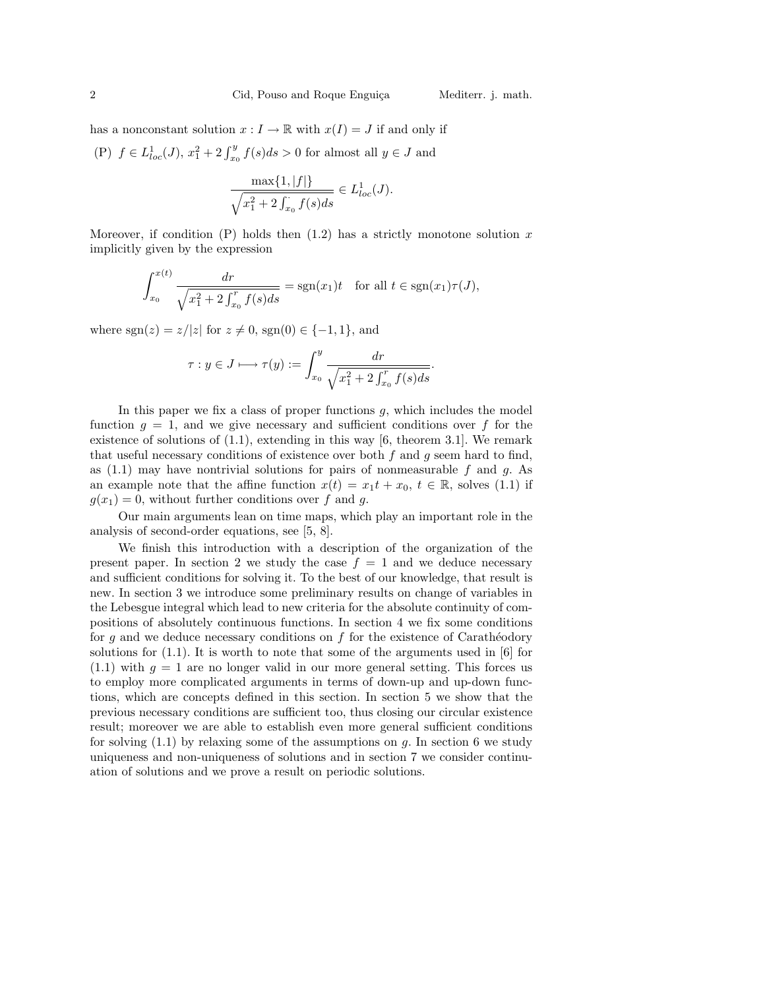has a nonconstant solution  $x : I \to \mathbb{R}$  with  $x(I) = J$  if and only if

(P)  $f \in L_{loc}^1(J)$ ,  $x_1^2 + 2 \int_{x_0}^y f(s) ds > 0$  for almost all  $y \in J$  and

$$
\frac{\max\{1, |f|\}}{\sqrt{x_1^2 + 2 \int_{x_0}^{\cdot} f(s) ds}} \in L_{loc}^1(J).
$$

Moreover, if condition  $(P)$  holds then  $(1.2)$  has a strictly monotone solution x implicitly given by the expression

$$
\int_{x_0}^{x(t)} \frac{dr}{\sqrt{x_1^2 + 2 \int_{x_0}^r f(s) ds}} = sgn(x_1)t \text{ for all } t \in sgn(x_1)\tau(J),
$$

where  $sgn(z) = z/|z|$  for  $z \neq 0$ ,  $sgn(0) \in \{-1, 1\}$ , and

$$
\tau: y \in J \longmapsto \tau(y) := \int_{x_0}^{y} \frac{dr}{\sqrt{x_1^2 + 2 \int_{x_0}^{r} f(s) ds}}.
$$

In this paper we fix a class of proper functions  $g$ , which includes the model function  $q = 1$ , and we give necessary and sufficient conditions over f for the existence of solutions of  $(1.1)$ , extending in this way  $[6,$  theorem 3.1. We remark that useful necessary conditions of existence over both  $f$  and  $q$  seem hard to find, as  $(1.1)$  may have nontrivial solutions for pairs of nonmeasurable f and g. As an example note that the affine function  $x(t) = x_1 t + x_0, t \in \mathbb{R}$ , solves (1.1) if  $g(x_1) = 0$ , without further conditions over f and g.

Our main arguments lean on time maps, which play an important role in the analysis of second-order equations, see [5, 8].

We finish this introduction with a description of the organization of the present paper. In section 2 we study the case  $f = 1$  and we deduce necessary and sufficient conditions for solving it. To the best of our knowledge, that result is new. In section 3 we introduce some preliminary results on change of variables in the Lebesgue integral which lead to new criteria for the absolute continuity of compositions of absolutely continuous functions. In section 4 we fix some conditions for  $g$  and we deduce necessary conditions on  $f$  for the existence of Carathéodory solutions for  $(1.1)$ . It is worth to note that some of the arguments used in [6] for  $(1.1)$  with  $q = 1$  are no longer valid in our more general setting. This forces us to employ more complicated arguments in terms of down-up and up-down functions, which are concepts defined in this section. In section 5 we show that the previous necessary conditions are sufficient too, thus closing our circular existence result; moreover we are able to establish even more general sufficient conditions for solving  $(1.1)$  by relaxing some of the assumptions on g. In section 6 we study uniqueness and non-uniqueness of solutions and in section 7 we consider continuation of solutions and we prove a result on periodic solutions.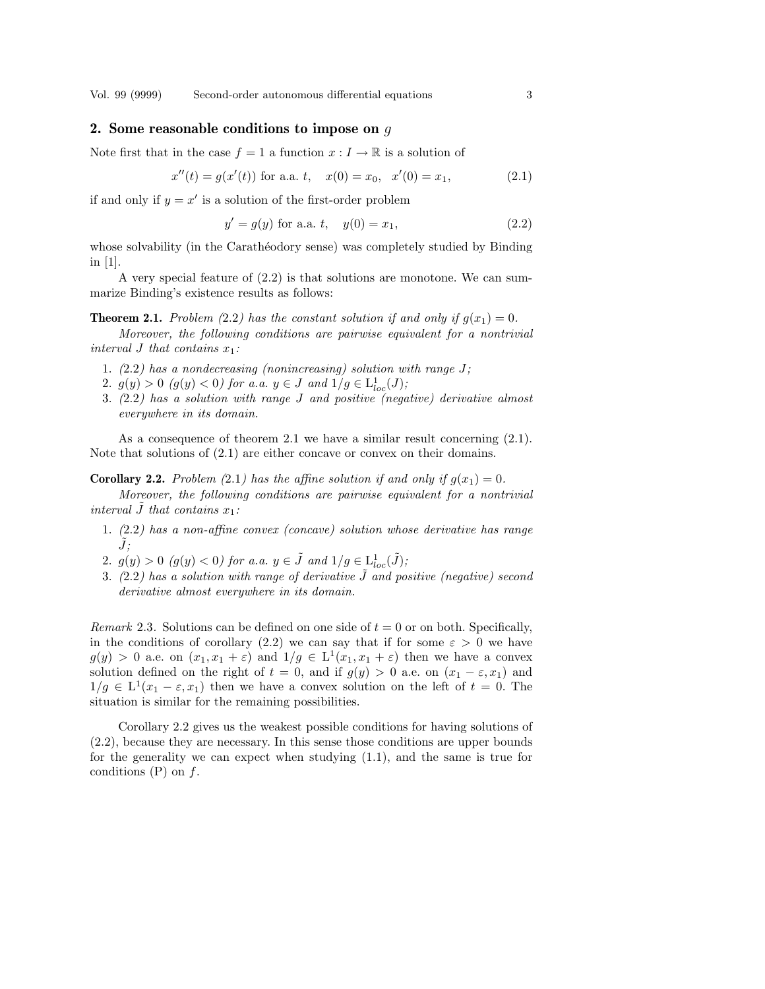Vol. 99 (9999) Second-order autonomous differential equations 3

#### 2. Some reasonable conditions to impose on  $q$

Note first that in the case  $f = 1$  a function  $x : I \to \mathbb{R}$  is a solution of

$$
x''(t) = g(x'(t))
$$
 for a.a. t,  $x(0) = x_0$ ,  $x'(0) = x_1$ , (2.1)

if and only if  $y = x'$  is a solution of the first-order problem

$$
y' = g(y) \text{ for a.a. } t, \quad y(0) = x_1,\tag{2.2}
$$

whose solvability (in the Carathéodory sense) was completely studied by Binding in [1].

A very special feature of  $(2.2)$  is that solutions are monotone. We can summarize Binding's existence results as follows:

**Theorem 2.1.** Problem (2.2) has the constant solution if and only if  $g(x_1) = 0$ .

Moreover, the following conditions are pairwise equivalent for a nontrivial interval J that contains  $x_1$ :

- 1.  $(2.2)$  has a nondecreasing (nonincreasing) solution with range J;
- 2.  $g(y) > 0$  (g(y) < 0) for a.a.  $y \in J$  and  $1/g \in L^{1}_{loc}(J)$ ;
- 3. (2.2) has a solution with range J and positive (negative) derivative almost everywhere in its domain.

As a consequence of theorem 2.1 we have a similar result concerning  $(2.1)$ . Note that solutions of (2.1) are either concave or convex on their domains.

**Corollary 2.2.** Problem (2.1) has the affine solution if and only if  $g(x_1) = 0$ .

Moreover, the following conditions are pairwise equivalent for a nontrivial interval  $\tilde{J}$  that contains  $x_1$ :

- 1. (2.2) has a non-affine convex (concave) solution whose derivative has range  $\tilde{J}$ :
- 2.  $g(y) > 0$  ( $g(y) < 0$ ) for a.a.  $y \in \tilde{J}$  and  $1/g \in L^1_{loc}(\tilde{J});$
- 3. (2.2) has a solution with range of derivative  $\tilde{J}$  and positive (negative) second derivative almost everywhere in its domain.

*Remark* 2.3. Solutions can be defined on one side of  $t = 0$  or on both. Specifically, in the conditions of corollary (2.2) we can say that if for some  $\varepsilon > 0$  we have  $g(y) > 0$  a.e. on  $(x_1, x_1 + \varepsilon)$  and  $1/g \in L^1(x_1, x_1 + \varepsilon)$  then we have a convex solution defined on the right of  $t = 0$ , and if  $g(y) > 0$  a.e. on  $(x_1 - \varepsilon, x_1)$  and  $1/g \in L^1(x_1 - \varepsilon, x_1)$  then we have a convex solution on the left of  $t = 0$ . The situation is similar for the remaining possibilities.

Corollary 2.2 gives us the weakest possible conditions for having solutions of (2.2), because they are necessary. In this sense those conditions are upper bounds for the generality we can expect when studying (1.1), and the same is true for conditions  $(P)$  on  $f$ .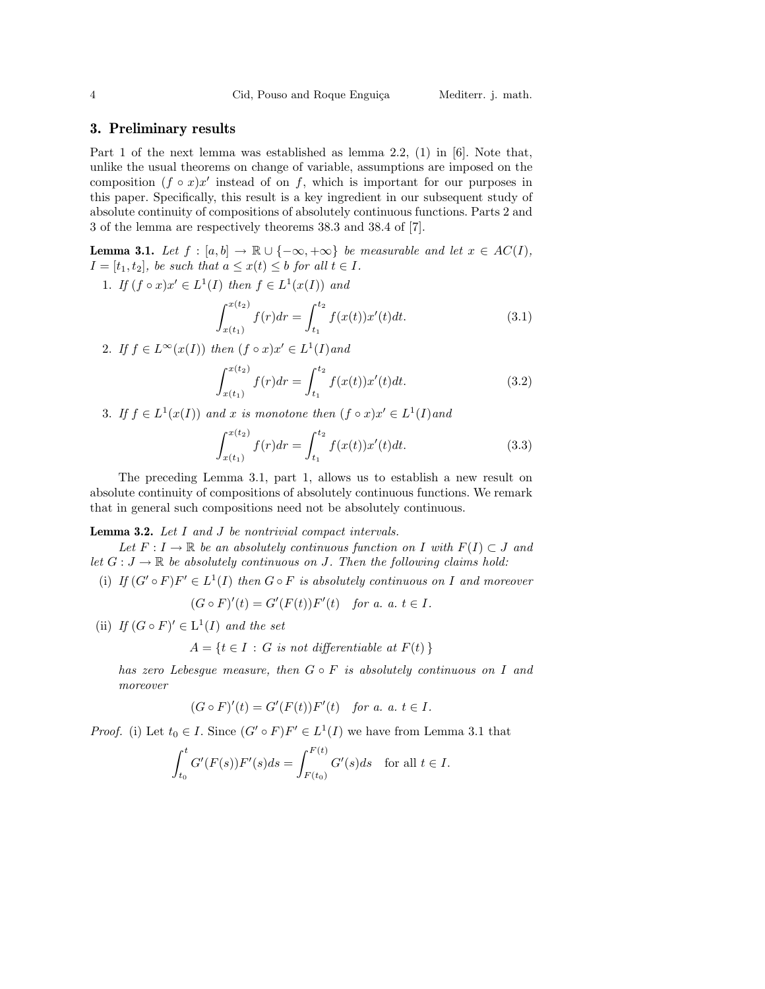## 3. Preliminary results

Part 1 of the next lemma was established as lemma 2.2, (1) in [6]. Note that, unlike the usual theorems on change of variable, assumptions are imposed on the composition  $(f \circ x)x'$  instead of on f, which is important for our purposes in this paper. Specifically, this result is a key ingredient in our subsequent study of absolute continuity of compositions of absolutely continuous functions. Parts 2 and 3 of the lemma are respectively theorems 38.3 and 38.4 of [7].

**Lemma 3.1.** Let  $f : [a, b] \to \mathbb{R} \cup \{-\infty, +\infty\}$  be measurable and let  $x \in AC(I)$ ,  $I = [t_1, t_2]$ , be such that  $a \leq x(t) \leq b$  for all  $t \in I$ .

1. If  $(f \circ x)x' \in L^1(I)$  then  $f \in L^1(x(I))$  and  $rx(t_2)$  $x(t_1)$  $f(r)dr =$  $\int_0^t t_2$  $t_1$  $f(x(t))x'(t)dt.$  (3.1)

2. If  $f \in L^{\infty}(x(I))$  then  $(f \circ x)x' \in L^1(I)$  and

$$
\int_{x(t_1)}^{x(t_2)} f(r) dr = \int_{t_1}^{t_2} f(x(t)) x'(t) dt.
$$
 (3.2)

3. If  $f \in L^1(x(I))$  and x is monotone then  $(f \circ x)x' \in L^1(I)$  and

$$
\int_{x(t_1)}^{x(t_2)} f(r) dr = \int_{t_1}^{t_2} f(x(t)) x'(t) dt.
$$
 (3.3)

The preceding Lemma 3.1, part 1, allows us to establish a new result on absolute continuity of compositions of absolutely continuous functions. We remark that in general such compositions need not be absolutely continuous.

Lemma 3.2. Let I and J be nontrivial compact intervals.

Let  $F: I \to \mathbb{R}$  be an absolutely continuous function on I with  $F(I) \subset J$  and let  $G: J \to \mathbb{R}$  be absolutely continuous on J. Then the following claims hold:

(i) If  $(G' \circ F)F' \in L^1(I)$  then  $G \circ F$  is absolutely continuous on I and moreover

$$
(G \circ F)'(t) = G'(F(t))F'(t) \quad for a.  $a, t \in I$ .
$$

(ii) If  $(G \circ F)' \in L^1(I)$  and the set

$$
A = \{ t \in I : G \text{ is not differentiable at } F(t) \}
$$

has zero Lebesque measure, then  $G \circ F$  is absolutely continuous on I and moreover

$$
(G \circ F)'(t) = G'(F(t))F'(t) \quad for a. a.  $t \in I$ .
$$

*Proof.* (i) Let  $t_0 \in I$ . Since  $(G' \circ F)F' \in L^1(I)$  we have from Lemma 3.1 that

$$
\int_{t_0}^t G'(F(s))F'(s)ds = \int_{F(t_0)}^{F(t)} G'(s)ds \text{ for all } t \in I.
$$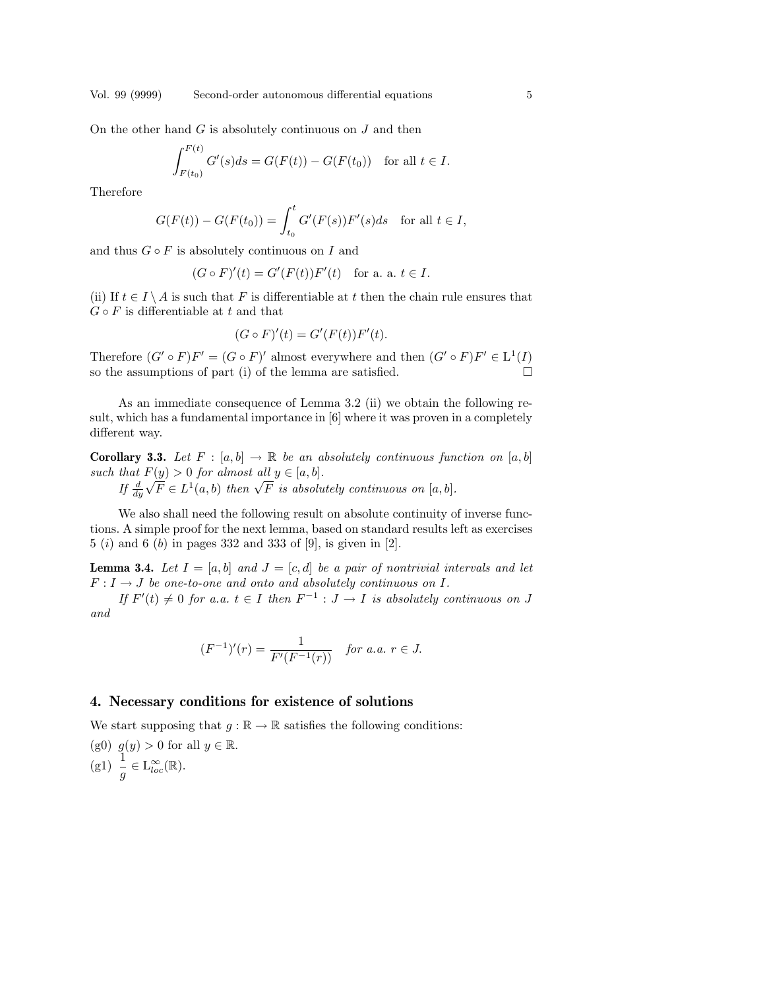On the other hand  $G$  is absolutely continuous on  $J$  and then

$$
\int_{F(t_0)}^{F(t)} G'(s) ds = G(F(t)) - G(F(t_0)) \text{ for all } t \in I.
$$

Therefore

$$
G(F(t)) - G(F(t_0)) = \int_{t_0}^t G'(F(s))F'(s)ds \text{ for all } t \in I,
$$

and thus  $G \circ F$  is absolutely continuous on I and

$$
(G \circ F)'(t) = G'(F(t))F'(t) \text{ for a. a. } t \in I.
$$

(ii) If  $t \in I \setminus A$  is such that F is differentiable at t then the chain rule ensures that  $G \circ F$  is differentiable at t and that

$$
(G \circ F)'(t) = G'(F(t))F'(t).
$$

Therefore  $(G' \circ F)F' = (G \circ F)'$  almost everywhere and then  $(G' \circ F)F' \in L^1(I)$ so the assumptions of part (i) of the lemma are satisfied.  $\Box$ 

As an immediate consequence of Lemma 3.2 (ii) we obtain the following result, which has a fundamental importance in [6] where it was proven in a completely different way.

**Corollary 3.3.** Let  $F : [a, b] \to \mathbb{R}$  be an absolutely continuous function on  $[a, b]$ such that  $F(y) > 0$  for almost all  $y \in [a, b]$ .

 $\begin{array}{l} \textit{that } \mathbf{r} \ (y) > 0 \ \textit{for } \textit{almost } \textit{at} \ y \in [a, 0]. \ \ \textit{If } \frac{d}{dy} \sqrt{F} \in L^1(a, b) \ \textit{then } \sqrt{F} \ \textit{is absolutely} \ \textit{continuous} \ \textit{on} \ [a, b]. \end{array}$ 

We also shall need the following result on absolute continuity of inverse functions. A simple proof for the next lemma, based on standard results left as exercises 5 (i) and 6 (b) in pages 332 and 333 of [9], is given in [2].

**Lemma 3.4.** Let  $I = [a, b]$  and  $J = [c, d]$  be a pair of nontrivial intervals and let  $F: I \rightarrow J$  be one-to-one and onto and absolutely continuous on I.

If  $F'(t) \neq 0$  for a.a.  $t \in I$  then  $F^{-1} : J \to I$  is absolutely continuous on J and

$$
(F^{-1})'(r) = \frac{1}{F'(F^{-1}(r))} \quad \text{for a.a. } r \in J.
$$

## 4. Necessary conditions for existence of solutions

We start supposing that  $g : \mathbb{R} \to \mathbb{R}$  satisfies the following conditions:

(g0)  $g(y) > 0$  for all  $y \in \mathbb{R}$ . (g1)  $\frac{1}{g} \in L^{\infty}_{loc}(\mathbb{R})$ .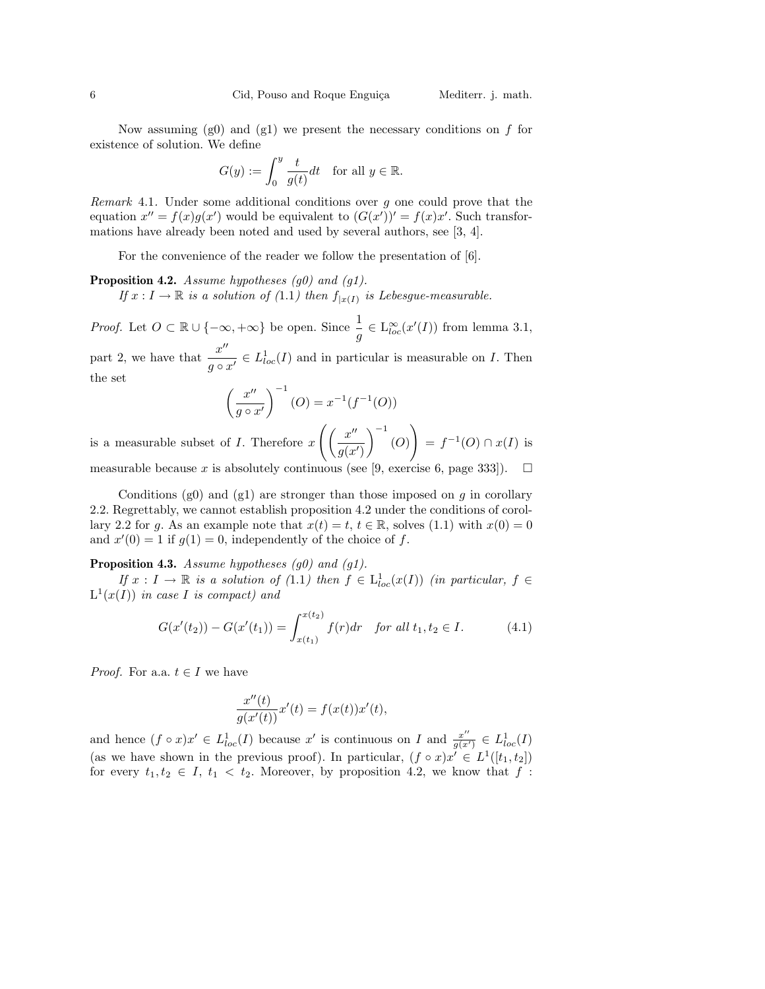Now assuming  $(g0)$  and  $(g1)$  we present the necessary conditions on f for existence of solution. We define

$$
G(y) := \int_0^y \frac{t}{g(t)} dt \quad \text{for all } y \in \mathbb{R}.
$$

Remark 4.1. Under some additional conditions over g one could prove that the equation  $x'' = f(x)g(x')$  would be equivalent to  $(G(x'))' = f(x)x'$ . Such transformations have already been noted and used by several authors, see [3, 4].

For the convenience of the reader we follow the presentation of  $[6]$ .

**Proposition 4.2.** Assume hypotheses  $(g0)$  and  $(g1)$ . If  $x: I \to \mathbb{R}$  is a solution of (1.1) then  $f_{x(I)}$  is Lebesgue-measurable.

*Proof.* Let  $O \subset \mathbb{R} \cup \{-\infty, +\infty\}$  be open. Since  $\frac{1}{g} \in L^{\infty}_{loc}(x'(I))$  from lemma 3.1,

part 2, we have that  $\frac{x^{\prime\prime}}{x^{\prime\prime}}$  $\frac{x}{g \circ x'} \in L^1_{loc}(I)$  and in particular is measurable on I. Then the set

$$
\left(\frac{x''}{g \circ x'}\right)^{-1}(O) = x^{-1}(f^{-1}(O))
$$

is a measurable subset of  $I$ . Therefore  $x$  $\int \int x''$  $g(x')$ (O) !<br>}  $= f^{-1}(O) \cap x(I)$  is

measurable because x is absolutely continuous (see [9, exercise 6, page 333]).  $\Box$ 

Conditions (g0) and (g1) are stronger than those imposed on  $g$  in corollary 2.2. Regrettably, we cannot establish proposition 4.2 under the conditions of corollary 2.2 for g. As an example note that  $x(t) = t$ ,  $t \in \mathbb{R}$ , solves (1.1) with  $x(0) = 0$ and  $x'(0) = 1$  if  $g(1) = 0$ , independently of the choice of f.

**Proposition 4.3.** Assume hypotheses  $(g0)$  and  $(g1)$ .

If  $x: I \to \mathbb{R}$  is a solution of (1.1) then  $f \in L^1_{loc}(x(I))$  (in particular,  $f \in$  $L^1(x(I))$  in case I is compact) and

$$
G(x'(t_2)) - G(x'(t_1)) = \int_{x(t_1)}^{x(t_2)} f(r) dr \quad \text{for all } t_1, t_2 \in I. \tag{4.1}
$$

*Proof.* For a.a.  $t \in I$  we have

$$
\frac{x''(t)}{g(x'(t))}x'(t) = f(x(t))x'(t),
$$

and hence  $(f \circ x)x' \in L^1_{loc}(I)$  because x' is continuous on I and  $\frac{x''}{g(x)}$  $\frac{x^{\prime\prime}}{g(x^{\prime})}\in L^1_{loc}(I)$ (as we have shown in the previous proof). In particular,  $(f \circ x)x' \in L^1([t_1, t_2])$ for every  $t_1, t_2 \in I$ ,  $t_1 < t_2$ . Moreover, by proposition 4.2, we know that f: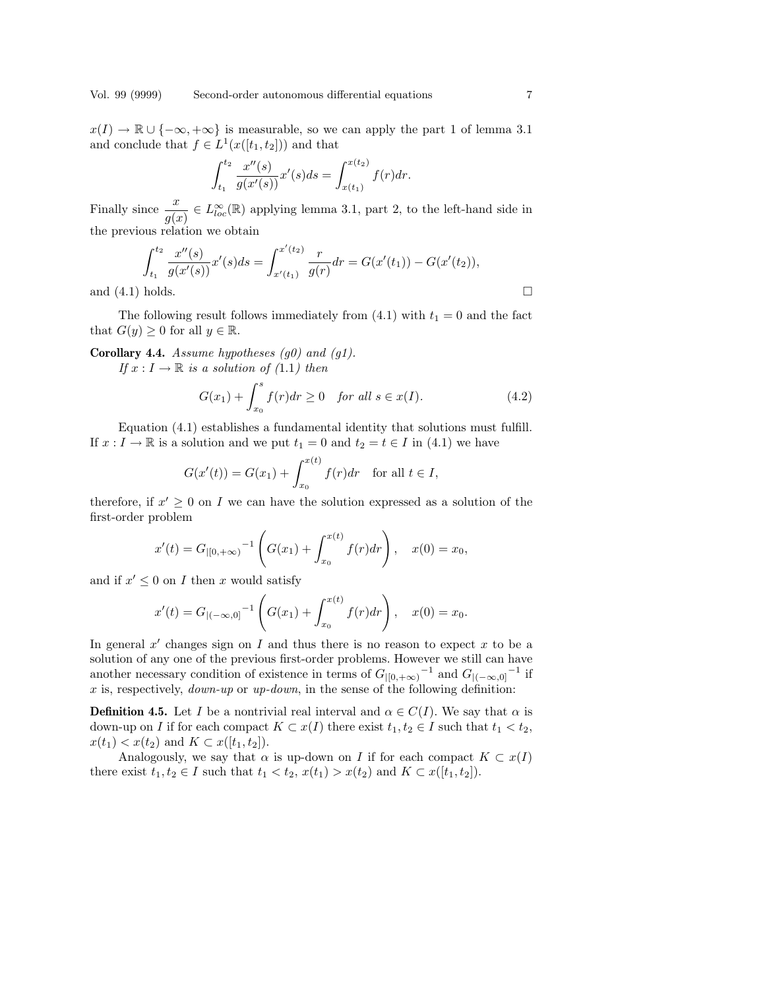$x(I) \to \mathbb{R} \cup \{-\infty, +\infty\}$  is measurable, so we can apply the part 1 of lemma 3.1 and conclude that  $f \in L^1(x([t_1, t_2]))$  and that

$$
\int_{t_1}^{t_2} \frac{x''(s)}{g(x'(s))} x'(s) ds = \int_{x(t_1)}^{x(t_2)} f(r) dr.
$$

Finally since  $\frac{x}{g(x)} \in L^{\infty}_{loc}(\mathbb{R})$  applying lemma 3.1, part 2, to the left-hand side in the previous relation we obtain

$$
\int_{t_1}^{t_2} \frac{x''(s)}{g(x'(s))} x'(s) ds = \int_{x'(t_1)}^{x'(t_2)} \frac{r}{g(r)} dr = G(x'(t_1)) - G(x'(t_2)),
$$
  
and (4.1) holds.

The following result follows immediately from  $(4.1)$  with  $t_1 = 0$  and the fact that  $G(y) \geq 0$  for all  $y \in \mathbb{R}$ .

**Corollary 4.4.** Assume hypotheses  $(g0)$  and  $(g1)$ .

If  $x: I \to \mathbb{R}$  is a solution of (1.1) then

$$
G(x_1) + \int_{x_0}^s f(r) dr \ge 0 \quad \text{for all } s \in x(I). \tag{4.2}
$$

Equation (4.1) establishes a fundamental identity that solutions must fulfill. If  $x: I \to \mathbb{R}$  is a solution and we put  $t_1 = 0$  and  $t_2 = t \in I$  in (4.1) we have

$$
G(x'(t)) = G(x_1) + \int_{x_0}^{x(t)} f(r) dr \text{ for all } t \in I,
$$

therefore, if  $x' \geq 0$  on I we can have the solution expressed as a solution of the first-order problem  $\overline{a}$ 

$$
x'(t) = G_{|[0, +\infty)}^{-1} \left( G(x_1) + \int_{x_0}^{x(t)} f(r) dr \right), \quad x(0) = x_0,
$$

and if  $x' \leq 0$  on I then x would satisfy

$$
x'(t) = G_{|(-\infty,0]}^{-1} \left( G(x_1) + \int_{x_0}^{x(t)} f(r) dr \right), \quad x(0) = x_0.
$$

In general  $x'$  changes sign on I and thus there is no reason to expect x to be a solution of any one of the previous first-order problems. However we still can have another necessary condition of existence in terms of  $G_{|[0,+\infty)}^{-1}$  and  $G_{|(-\infty,0]}^{-1}$  if  $x$  is, respectively,  $down-up$  or  $up-down$ , in the sense of the following definition:

**Definition 4.5.** Let I be a nontrivial real interval and  $\alpha \in C(I)$ . We say that  $\alpha$  is down-up on I if for each compact  $K \subset x(I)$  there exist  $t_1, t_2 \in I$  such that  $t_1 < t_2$ ,  $x(t_1) < x(t_2)$  and  $K \subset x([t_1, t_2])$ .

Analogously, we say that  $\alpha$  is up-down on I if for each compact  $K \subset x(I)$ there exist  $t_1, t_2 \in I$  such that  $t_1 < t_2$ ,  $x(t_1) > x(t_2)$  and  $K \subset x([t_1, t_2])$ .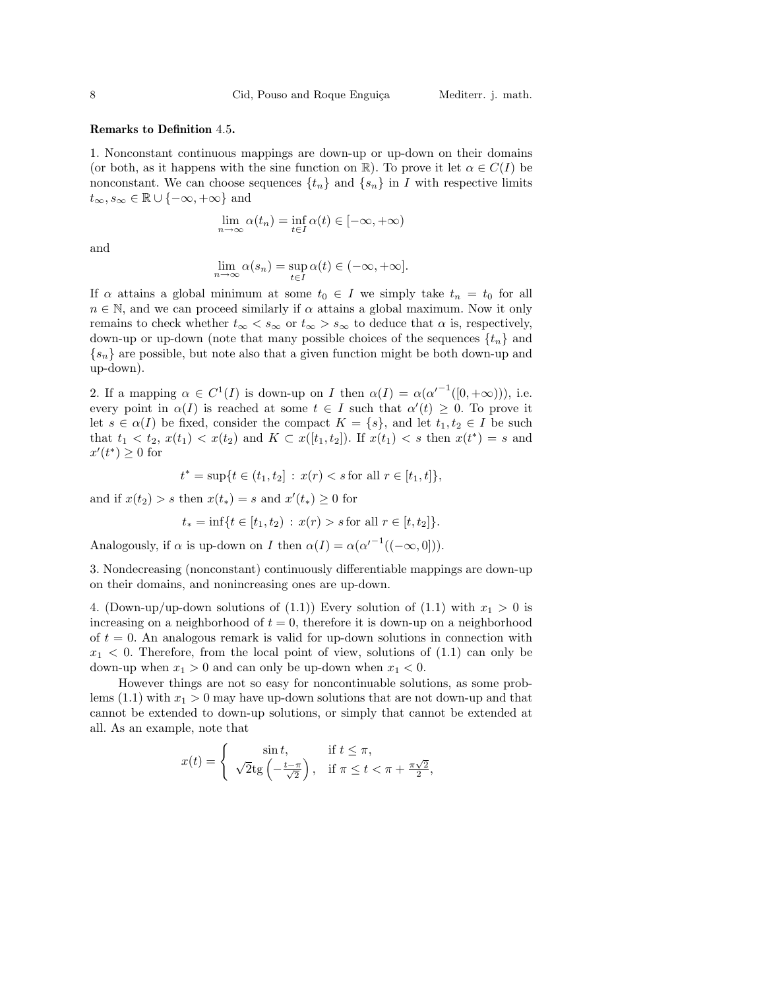#### Remarks to Definition 4.5.

1. Nonconstant continuous mappings are down-up or up-down on their domains (or both, as it happens with the sine function on  $\mathbb{R}$ ). To prove it let  $\alpha \in C(I)$  be nonconstant. We can choose sequences  $\{t_n\}$  and  $\{s_n\}$  in I with respective limits  $t_{\infty}, s_{\infty} \in \mathbb{R} \cup \{-\infty, +\infty\}$  and

$$
\lim_{n\to\infty}\alpha(t_n)=\inf_{t\in I}\alpha(t)\in[-\infty,+\infty)
$$

and

$$
\lim_{n \to \infty} \alpha(s_n) = \sup_{t \in I} \alpha(t) \in (-\infty, +\infty].
$$

If  $\alpha$  attains a global minimum at some  $t_0 \in I$  we simply take  $t_n = t_0$  for all  $n \in \mathbb{N}$ , and we can proceed similarly if  $\alpha$  attains a global maximum. Now it only remains to check whether  $t_{\infty} < s_{\infty}$  or  $t_{\infty} > s_{\infty}$  to deduce that  $\alpha$  is, respectively, down-up or up-down (note that many possible choices of the sequences  $\{t_n\}$  and  ${s_n}$  are possible, but note also that a given function might be both down-up and up-down).

2. If a mapping  $\alpha \in C^1(I)$  is down-up on I then  $\alpha(I) = \alpha(\alpha'^{-1}([0, +\infty)))$ , i.e. every point in  $\alpha(I)$  is reached at some  $t \in I$  such that  $\alpha'(t) \geq 0$ . To prove it let  $s \in \alpha(I)$  be fixed, consider the compact  $K = \{s\}$ , and let  $t_1, t_2 \in I$  be such that  $t_1 < t_2, x(t_1) < x(t_2)$  and  $K \subset x([t_1, t_2])$ . If  $x(t_1) < s$  then  $x(t^*) = s$  and  $x'(t^*) \geq 0$  for

$$
t^* = \sup\{t \in (t_1, t_2] : x(r) < s \text{ for all } r \in [t_1, t]\},
$$

and if  $x(t_2) > s$  then  $x(t_*) = s$  and  $x'(t_*) \geq 0$  for

$$
t_* = \inf\{t \in [t_1, t_2) : x(r) > s \text{ for all } r \in [t, t_2]\}.
$$

Analogously, if  $\alpha$  is up-down on I then  $\alpha(I) = \alpha(\alpha'^{-1}((-\infty,0]))$ .

3. Nondecreasing (nonconstant) continuously differentiable mappings are down-up on their domains, and nonincreasing ones are up-down.

4. (Down-up/up-down solutions of (1.1)) Every solution of (1.1) with  $x_1 > 0$  is increasing on a neighborhood of  $t = 0$ , therefore it is down-up on a neighborhood of  $t = 0$ . An analogous remark is valid for up-down solutions in connection with  $x_1$  < 0. Therefore, from the local point of view, solutions of  $(1.1)$  can only be down-up when  $x_1 > 0$  and can only be up-down when  $x_1 < 0$ .

However things are not so easy for noncontinuable solutions, as some problems (1.1) with  $x_1 > 0$  may have up-down solutions that are not down-up and that cannot be extended to down-up solutions, or simply that cannot be extended at all. As an example, note that

$$
x(t) = \begin{cases} \sin t, & \text{if } t \le \pi, \\ \sqrt{2} \text{tg} \left( -\frac{t - \pi}{\sqrt{2}} \right), & \text{if } \pi \le t < \pi + \frac{\pi \sqrt{2}}{2}, \end{cases}
$$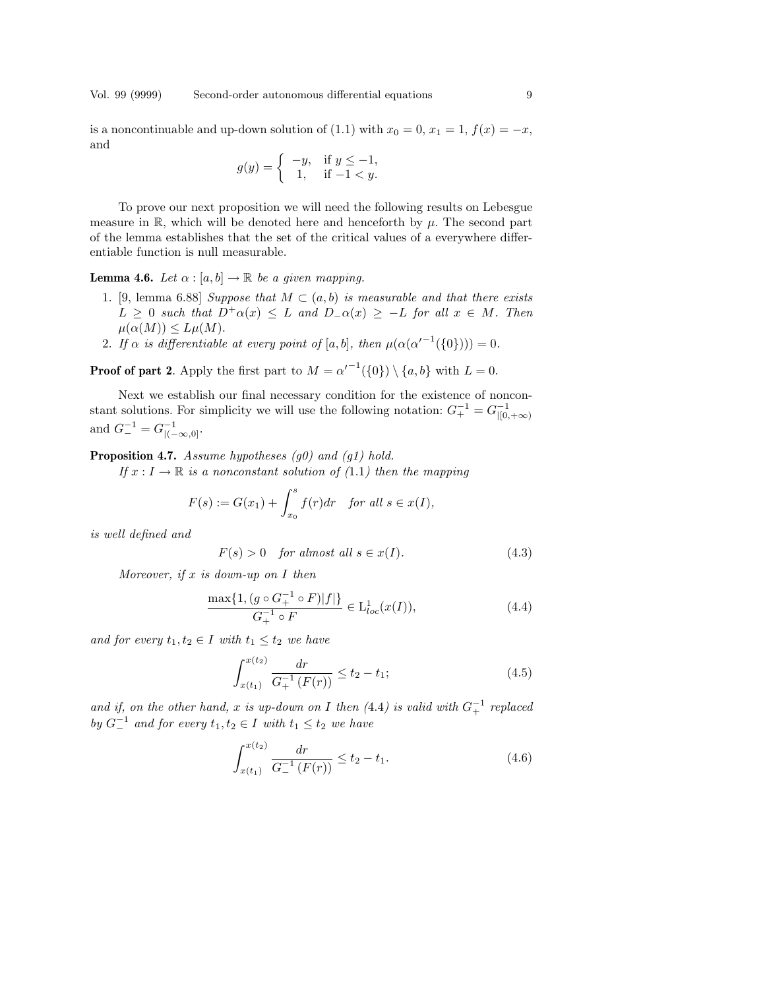Vol. 99 (9999) Second-order autonomous differential equations 9

is a noncontinuable and up-down solution of (1.1) with  $x_0 = 0, x_1 = 1, f(x) = -x$ , and

$$
g(y) = \begin{cases} -y, & \text{if } y \le -1, \\ 1, & \text{if } -1 < y. \end{cases}
$$

To prove our next proposition we will need the following results on Lebesgue measure in  $\mathbb{R}$ , which will be denoted here and henceforth by  $\mu$ . The second part of the lemma establishes that the set of the critical values of a everywhere differentiable function is null measurable.

**Lemma 4.6.** Let  $\alpha : [a, b] \to \mathbb{R}$  be a given mapping.

- 1. [9, lemma 6.88] Suppose that  $M \subset (a, b)$  is measurable and that there exists  $L \geq 0$  such that  $D^{\dagger} \alpha(x) \leq L$  and  $D_{\alpha}(x) \geq -L$  for all  $x \in M$ . Then  $\mu(\alpha(M)) \leq L\mu(M).$
- 2. If  $\alpha$  is differentiable at every point of [a, b], then  $\mu(\alpha(\alpha'^{-1}(\{0\})))=0$ .

**Proof of part 2.** Apply the first part to  $M = \alpha'^{-1}(\{0\}) \setminus \{a, b\}$  with  $L = 0$ .

Next we establish our final necessary condition for the existence of nonconstant solutions. For simplicity we will use the following notation:  $G_+^{-1} = G_{|[0, +\infty)}^{-1}$ and  $G_{-}^{-1} = G_{|(-\infty,0]}^{-1}$ .

**Proposition 4.7.** Assume hypotheses  $(q0)$  and  $(q1)$  hold.

If  $x: I \to \mathbb{R}$  is a nonconstant solution of (1.1) then the mapping

$$
F(s) := G(x_1) + \int_{x_0}^s f(r) dr \quad \text{for all } s \in x(I),
$$

is well defined and

$$
F(s) > 0 \quad for almost all  $s \in x(I)$ . \tag{4.3}
$$

Moreover, if  $x$  is down-up on  $I$  then

$$
\frac{\max\{1, (g \circ G_+^{-1} \circ F)|f|\}}{G_+^{-1} \circ F} \in \mathcal{L}_{loc}^1(x(I)),\tag{4.4}
$$

and for every  $t_1, t_2 \in I$  with  $t_1 \leq t_2$  we have

$$
\int_{x(t_1)}^{x(t_2)} \frac{dr}{G_+^{-1}(F(r))} \le t_2 - t_1;
$$
\n(4.5)

and if, on the other hand, x is up-down on I then  $(4.4)$  is valid with  $G_{+}^{-1}$  replaced by  $G_{-}^{-1}$  and for every  $t_1, t_2 \in I$  with  $t_1 \leq t_2$  we have

$$
\int_{x(t_1)}^{x(t_2)} \frac{dr}{G_{-}^{-1}(F(r))} \le t_2 - t_1.
$$
\n(4.6)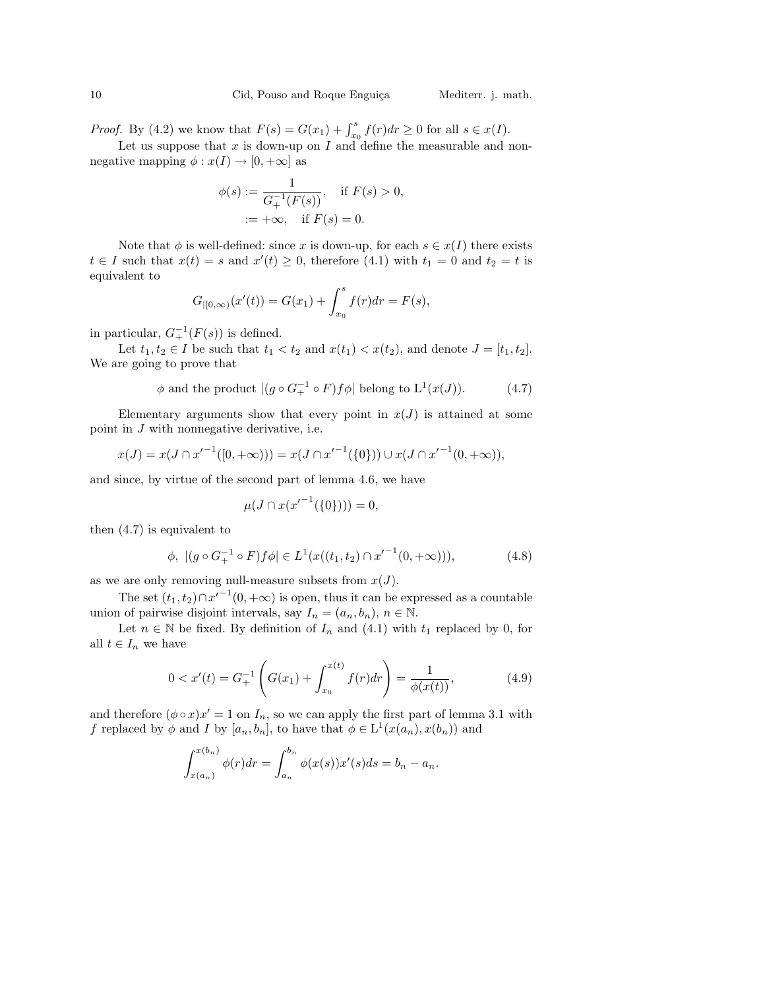*Proof.* By (4.2) we know that  $F(s) = G(x_1) + \int_{x_0}^s f(r) dr \ge 0$  for all  $s \in x(I)$ .

Let us suppose that  $x$  is down-up on  $I$  and define the measurable and nonnegative mapping  $\phi: x(I) \to [0, +\infty]$  as

$$
\phi(s) := \frac{1}{G_+^{-1}(F(s))}, \quad \text{if } F(s) > 0, \\ := +\infty, \quad \text{if } F(s) = 0.
$$

Note that  $\phi$  is well-defined: since x is down-up, for each  $s \in x(I)$  there exists  $t \in I$  such that  $x(t) = s$  and  $x'(t) \geq 0$ , therefore (4.1) with  $t_1 = 0$  and  $t_2 = t$  is equivalent to

$$
G_{|[0,\infty)}(x'(t)) = G(x_1) + \int_{x_0}^s f(r) dr = F(s),
$$

in particular,  $G_+^{-1}(F(s))$  is defined.

Let  $t_1, t_2 \in I$  be such that  $t_1 < t_2$  and  $x(t_1) < x(t_2)$ , and denote  $J = [t_1, t_2]$ . We are going to prove that

$$
\phi \text{ and the product } |(g \circ G_+^{-1} \circ F)f\phi| \text{ belong to } \mathcal{L}^1(x(J)).
$$
 (4.7)

Elementary arguments show that every point in  $x(J)$  is attained at some point in J with nonnegative derivative, i.e.

$$
x(J) = x(J \cap {x'}^{-1}([0, +\infty))) = x(J \cap {x'}^{-1}(\{0\})) \cup x(J \cap {x'}^{-1}(0, +\infty)),
$$

and since, by virtue of the second part of lemma 4.6, we have

$$
\mu(J \cap x({x'}^{-1}(\{0\}))) = 0,
$$

then (4.7) is equivalent to

$$
\phi, \ |(g \circ G_+^{-1} \circ F)f\phi| \in L^1(x((t_1, t_2) \cap {x'}^{-1}(0, +\infty))), \qquad (4.8)
$$

as we are only removing null-measure subsets from  $x(J)$ .

The set  $(t_1, t_2) \cap x'^{-1}(0, +\infty)$  is open, thus it can be expressed as a countable union of pairwise disjoint intervals, say  $I_n = (a_n, b_n), n \in \mathbb{N}$ .

Let  $n \in \mathbb{N}$  be fixed. By definition of  $I_n$  and  $(4.1)$  with  $t_1$  replaced by 0, for all  $t \in I_n$  we have

$$
0 < x'(t) = G_+^{-1} \left( G(x_1) + \int_{x_0}^{x(t)} f(r) dr \right) = \frac{1}{\phi(x(t))},\tag{4.9}
$$

and therefore  $(\phi \circ x)x' = 1$  on  $I_n$ , so we can apply the first part of lemma 3.1 with f replaced by  $\phi$  and I by  $[a_n, b_n]$ , to have that  $\phi \in L^1(x(a_n), x(b_n))$  and

$$
\int_{x(a_n)}^{x(b_n)} \phi(r) dr = \int_{a_n}^{b_n} \phi(x(s))x'(s) ds = b_n - a_n.
$$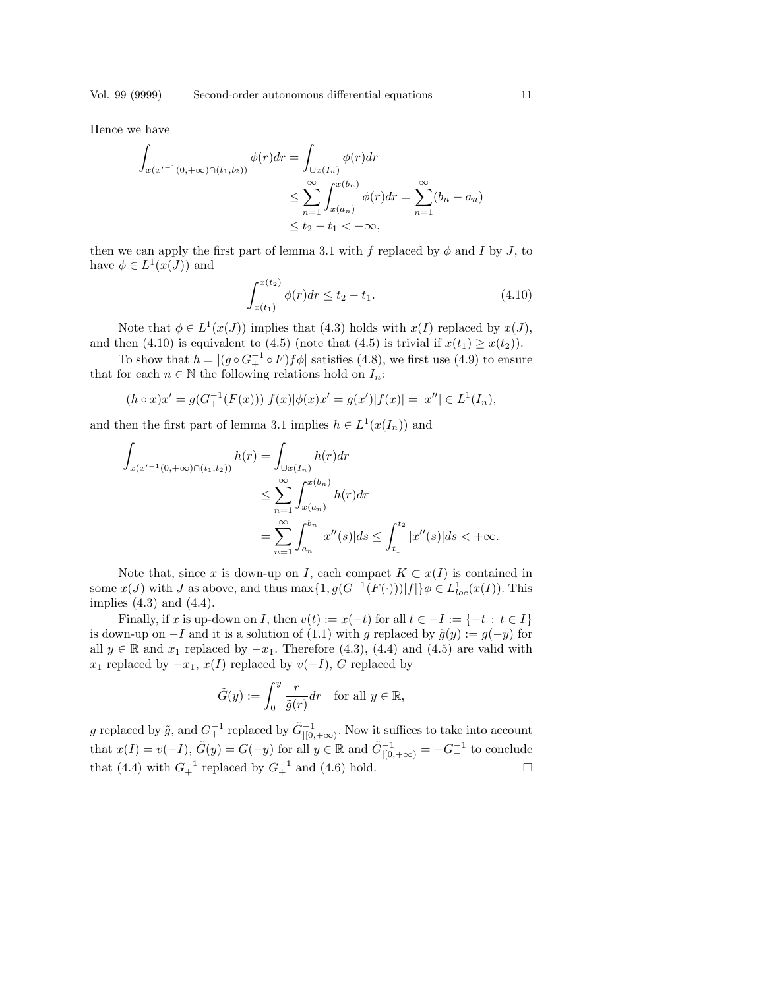Hence we have

$$
\int_{x(x'-1(0,+\infty)\cap(t_1,t_2))} \phi(r)dr = \int_{\cup x(I_n)} \phi(r)dr
$$
\n
$$
\leq \sum_{n=1}^{\infty} \int_{x(a_n)}^{x(b_n)} \phi(r)dr = \sum_{n=1}^{\infty} (b_n - a_n)
$$
\n
$$
\leq t_2 - t_1 < +\infty,
$$

then we can apply the first part of lemma 3.1 with f replaced by  $\phi$  and I by J, to have  $\phi \in L^1(x(J))$  and

$$
\int_{x(t_1)}^{x(t_2)} \phi(r) dr \le t_2 - t_1. \tag{4.10}
$$

Note that  $\phi \in L^1(x(J))$  implies that (4.3) holds with  $x(I)$  replaced by  $x(J)$ , and then (4.10) is equivalent to (4.5) (note that (4.5) is trivial if  $x(t_1) \geq x(t_2)$ ).

To show that  $h = |(g \circ G_+^{-1} \circ F)f\phi|$  satisfies (4.8), we first use (4.9) to ensure that for each  $n \in \mathbb{N}$  the following relations hold on  $I_n$ :

$$
(h \circ x)x' = g(G_+^{-1}(F(x)))|f(x)|\phi(x)x' = g(x')|f(x)| = |x''| \in L^1(I_n),
$$

and then the first part of lemma 3.1 implies  $h \in L^1(x(I_n))$  and

$$
\int_{x(x'^{-1}(0,+\infty)\cap(t_1,t_2))} h(r) = \int_{\bigcup x(I_n)} h(r) dr
$$
\n
$$
\leq \sum_{n=1}^{\infty} \int_{x(a_n)}^{x(b_n)} h(r) dr
$$
\n
$$
= \sum_{n=1}^{\infty} \int_{a_n}^{b_n} |x''(s)| ds \leq \int_{t_1}^{t_2} |x''(s)| ds < +\infty.
$$

Note that, since x is down-up on I, each compact  $K \subset x(I)$  is contained in some  $x(J)$  with J as above, and thus  $\max\{1, g(G^{-1}(F(\cdot)))|f|\}\phi \in L^1_{loc}(x(I))$ . This implies  $(4.3)$  and  $(4.4)$ .

Finally, if x is up-down on I, then  $v(t) := x(-t)$  for all  $t \in -I := \{-t : t \in I\}$ is down-up on  $-I$  and it is a solution of (1.1) with g replaced by  $\tilde{g}(y) := g(-y)$  for all  $y \in \mathbb{R}$  and  $x_1$  replaced by  $-x_1$ . Therefore (4.3), (4.4) and (4.5) are valid with  $x_1$  replaced by  $-x_1, x(I)$  replaced by  $v(-I)$ , G replaced by

$$
\tilde{G}(y) := \int_0^y \frac{r}{\tilde{g}(r)} dr \quad \text{for all } y \in \mathbb{R},
$$

g replaced by  $\tilde{g}$ , and  $G_+^{-1}$  replaced by  $\tilde{G}_{|[0,+\infty)}^{-1}$ . Now it suffices to take into account that  $x(I) = v(-I)$ ,  $\tilde{G}(y) = G(-y)$  for all  $y \in \mathbb{R}$  and  $\tilde{G}_{|[0,+\infty)}^{-1} = -G_{-}^{-1}$  to conclude that (4.4) with  $G_+^{-1}$  replaced by  $G_+^{-1}$  and (4.6) hold.  $\square$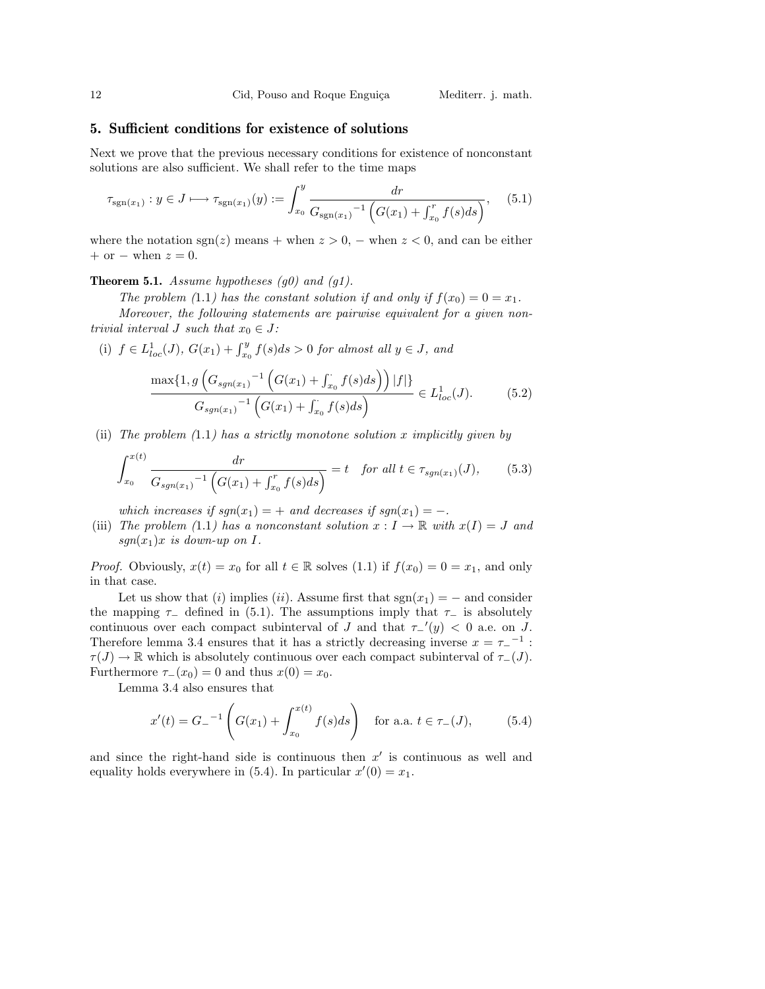#### 5. Sufficient conditions for existence of solutions

Next we prove that the previous necessary conditions for existence of nonconstant solutions are also sufficient. We shall refer to the time maps

$$
\tau_{sgn(x_1)}: y \in J \longmapsto \tau_{sgn(x_1)}(y) := \int_{x_0}^{y} \frac{dr}{G_{sgn(x_1)}^{-1} \left( G(x_1) + \int_{x_0}^{r} f(s)ds \right)}, \quad (5.1)
$$

where the notation  $sgn(z)$  means + when  $z > 0$ , – when  $z < 0$ , and can be either  $+$  or  $-$  when  $z = 0$ .

**Theorem 5.1.** Assume hypotheses  $(g0)$  and  $(g1)$ .

The problem (1.1) has the constant solution if and only if  $f(x_0) = 0 = x_1$ .

Moreover, the following statements are pairwise equivalent for a given nontrivial interval J such that  $x_0 \in J$ :

(i) 
$$
f \in L_{loc}^1(J)
$$
,  $G(x_1) + \int_{x_0}^y f(s)ds > 0$  for almost all  $y \in J$ , and  
\n
$$
\frac{\max\{1, g\left(G_{sgn(x_1)}^{-1}\left(G(x_1) + \int_{x_0}^{\cdot} f(s)ds\right)\right)|f| \}}{G_{sgn(x_1)}^{-1}\left(G(x_1) + \int_{x_0}^{\cdot} f(s)ds\right)} \in L_{loc}^1(J).
$$
\n(5.2)

(ii) The problem  $(1.1)$  has a strictly monotone solution x implicitly given by

$$
\int_{x_0}^{x(t)} \frac{dr}{G_{sgn(x_1)}^{-1} \left( G(x_1) + \int_{x_0}^r f(s)ds \right)} = t \quad \text{for all } t \in \tau_{sgn(x_1)}(J), \tag{5.3}
$$

which increases if  $sgn(x_1) = +$  and decreases if  $sgn(x_1) = -$ .

(iii) The problem (1.1) has a nonconstant solution  $x: I \to \mathbb{R}$  with  $x(I) = J$  and  $sgn(x_1)x$  is down-up on I.

*Proof.* Obviously,  $x(t) = x_0$  for all  $t \in \mathbb{R}$  solves (1.1) if  $f(x_0) = 0 = x_1$ , and only in that case.

Let us show that (i) implies (ii). Assume first that  $sgn(x_1) = -$  and consider the mapping  $\tau_-\$  defined in (5.1). The assumptions imply that  $\tau_-\$  is absolutely continuous over each compact subinterval of J and that  $\tau_{-}'(y) < 0$  a.e. on J. Therefore lemma 3.4 ensures that it has a strictly decreasing inverse  $x = \tau_-^{-1}$ :  $\tau(J) \to \mathbb{R}$  which is absolutely continuous over each compact subinterval of  $\tau_{-}(J)$ . Furthermore  $\tau_-(x_0) = 0$  and thus  $x(0) = x_0$ .

Lemma 3.4 also ensures that

$$
x'(t) = G_{-}^{-1} \left( G(x_1) + \int_{x_0}^{x(t)} f(s)ds \right) \quad \text{for a.a. } t \in \tau_-(J), \tag{5.4}
$$

and since the right-hand side is continuous then  $x'$  is continuous as well and equality holds everywhere in (5.4). In particular  $x'(0) = x_1$ .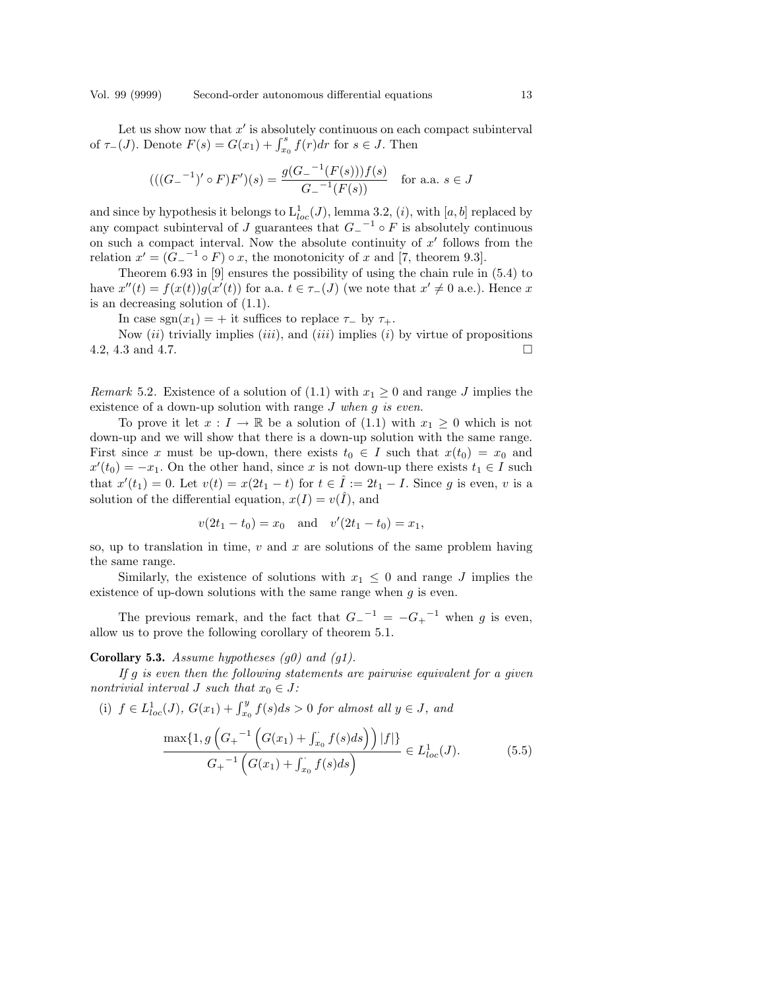Let us show now that  $x'$  is absolutely continuous on each compact subinterval Let us show now that x' is absolutely continuous on each of  $\tau_-(J)$ . Denote  $F(s) = G(x_1) + \int_{x_0}^s f(r) dr$  for  $s \in J$ . Then

$$
(((G_{-}^{-1})' \circ F)F')(s) = \frac{g(G_{-}^{-1}(F(s)))f(s)}{G_{-}^{-1}(F(s))} \text{ for a.a. } s \in J
$$

and since by hypothesis it belongs to  $L_{loc}^1(J)$ , lemma 3.2,  $(i)$ , with  $[a, b]$  replaced by any compact subinterval of J guarantees that  $G_-\textsuperscript{-1}$  o F is absolutely continuous on such a compact interval. Now the absolute continuity of  $x'$  follows from the relation  $x' = (G_0^{-1} \circ F) \circ x$ , the monotonicity of x and [7, theorem 9.3].

Theorem 6.93 in [9] ensures the possibility of using the chain rule in (5.4) to have  $x''(t) = f(x(t))g(x'(t))$  for a.a.  $t \in \tau_-(J)$  (we note that  $x' \neq 0$  a.e.). Hence x is an decreasing solution of (1.1).

In case sgn $(x_1) = +$  it suffices to replace  $\tau_-\,$  by  $\tau_+$ .

Now  $(ii)$  trivially implies  $(iii)$ , and  $(iii)$  implies  $(i)$  by virtue of propositions 4.2, 4.3 and 4.7.  $\Box$ 

Remark 5.2. Existence of a solution of (1.1) with  $x_1 \geq 0$  and range J implies the existence of a down-up solution with range  $J$  when  $g$  is even.

To prove it let  $x: I \to \mathbb{R}$  be a solution of (1.1) with  $x_1 \geq 0$  which is not down-up and we will show that there is a down-up solution with the same range. First since x must be up-down, there exists  $t_0 \in I$  such that  $x(t_0) = x_0$  and  $x'(t_0) = -x_1$ . On the other hand, since x is not down-up there exists  $t_1 \in I$  such that  $x'(t_1) = 0$ . Let  $v(t) = x(2t_1 - t)$  for  $t \in \hat{I} := 2t_1 - I$ . Since g is even, v is a solution of the differential equation,  $x(I) = v(\hat{I})$ , and

$$
v(2t_1 - t_0) = x_0
$$
 and  $v'(2t_1 - t_0) = x_1$ ,

so, up to translation in time,  $v$  and  $x$  are solutions of the same problem having the same range.

Similarly, the existence of solutions with  $x_1 \leq 0$  and range J implies the existence of up-down solutions with the same range when  $g$  is even.

The previous remark, and the fact that  $G_-\prime^{-1} = -G_+^{\phantom{-1}-1}$  when g is even, allow us to prove the following corollary of theorem 5.1.

## **Corollary 5.3.** Assume hypotheses  $(g0)$  and  $(g1)$ .

If  $g$  is even then the following statements are pairwise equivalent for a given nontrivial interval J such that  $x_0 \in J$ :

(i)  $f \in L^1_{loc}(J)$ ,  $G(x_1) + \int_{x_0}^y f(s)ds > 0$  for almost all  $y \in J$ , and

$$
\frac{\max\{1, g\left(G_{+}^{-1}\left(G(x_{1}) + \int_{x_{0}} f(s)ds\right)\right)|f|\}}{G_{+}^{-1}\left(G(x_{1}) + \int_{x_{0}} f(s)ds\right)} \in L_{loc}^{1}(J). \tag{5.5}
$$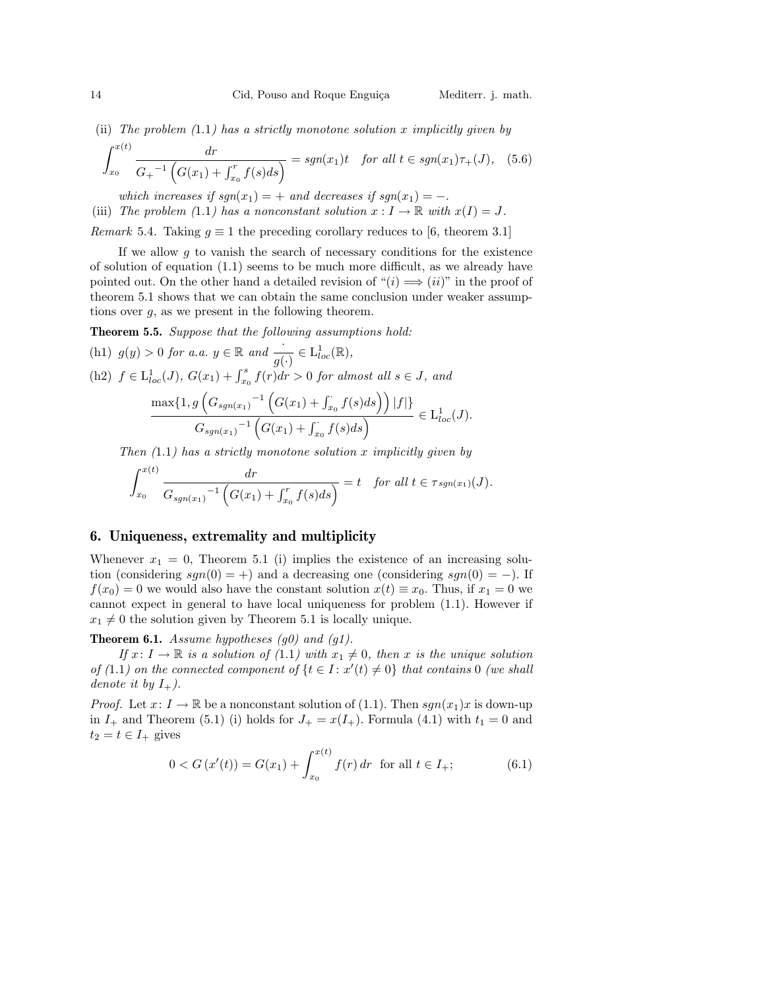(ii) The problem  $(1.1)$  has a strictly monotone solution x implicitly given by

$$
\int_{x_0}^{x(t)} \frac{dr}{G_+^{-1} \left( G(x_1) + \int_{x_0}^r f(s) ds \right)} = sgn(x_1)t \quad \text{for all } t \in sgn(x_1)\tau_+(J), \quad (5.6)
$$

which increases if  $sgn(x_1) = +$  and decreases if  $sgn(x_1) = -$ . (iii) The problem (1.1) has a nonconstant solution  $x : I \to \mathbb{R}$  with  $x(I) = J$ . Remark 5.4. Taking  $q \equiv 1$  the preceding corollary reduces to [6, theorem 3.1]

If we allow  $g$  to vanish the search of necessary conditions for the existence of solution of equation  $(1.1)$  seems to be much more difficult, as we already have pointed out. On the other hand a detailed revision of " $(i) \implies (ii)$ " in the proof of theorem 5.1 shows that we can obtain the same conclusion under weaker assumptions over g, as we present in the following theorem.

Theorem 5.5. Suppose that the following assumptions hold:

(h1) 
$$
g(y) > 0
$$
 for a.a.  $y \in \mathbb{R}$  and  $\frac{1}{g(\cdot)} \in L^1_{loc}(\mathbb{R})$ ,  
\n(h2)  $f \in L^1_{loc}(J)$ ,  $G(x_1) + \int_{x_0}^s f(r) dr > 0$  for almost all  $s \in J$ , and  
\n
$$
\frac{\max\{1, g\left(G_{sgn(x_1)}^{-1}\left(G(x_1) + \int_{x_0}^s f(s) ds\right)\right)|f| \}}{G_{sgn(x_1)}^{-1}\left(G(x_1) + \int_{x_0}^s f(s) ds\right)} \in L^1_{loc}(J).
$$

Then  $(1.1)$  has a strictly monotone solution x implicitly given by

$$
\int_{x_0}^{x(t)} \frac{dr}{G_{sgn(x_1)}^{-1} \left( G(x_1) + \int_{x_0}^r f(s) ds \right)} = t \quad \text{for all } t \in \tau_{sgn(x_1)}(J).
$$

# 6. Uniqueness, extremality and multiplicity

Whenever  $x_1 = 0$ , Theorem 5.1 (i) implies the existence of an increasing solution (considering  $sgn(0) = +$ ) and a decreasing one (considering  $sgn(0) = -$ ). If  $f(x_0) = 0$  we would also have the constant solution  $x(t) \equiv x_0$ . Thus, if  $x_1 = 0$  we cannot expect in general to have local uniqueness for problem (1.1). However if  $x_1 \neq 0$  the solution given by Theorem 5.1 is locally unique.

#### **Theorem 6.1.** Assume hypotheses  $(g0)$  and  $(g1)$ .

If  $x: I \to \mathbb{R}$  is a solution of (1.1) with  $x_1 \neq 0$ , then x is the unique solution of (1.1) on the connected component of  $\{t \in I : x'(t) \neq 0\}$  that contains 0 (we shall denote it by  $I_+$ ).

*Proof.* Let  $x: I \to \mathbb{R}$  be a nonconstant solution of (1.1). Then  $sgn(x_1)x$  is down-up in  $I_+$  and Theorem (5.1) (i) holds for  $J_+ = x(I_+)$ . Formula (4.1) with  $t_1 = 0$  and  $t_2 = t \in I_+$  gives

$$
0 < G\left(x'(t)\right) = G(x_1) + \int_{x_0}^{x(t)} f(r) \, dr \quad \text{for all } t \in I_+;\tag{6.1}
$$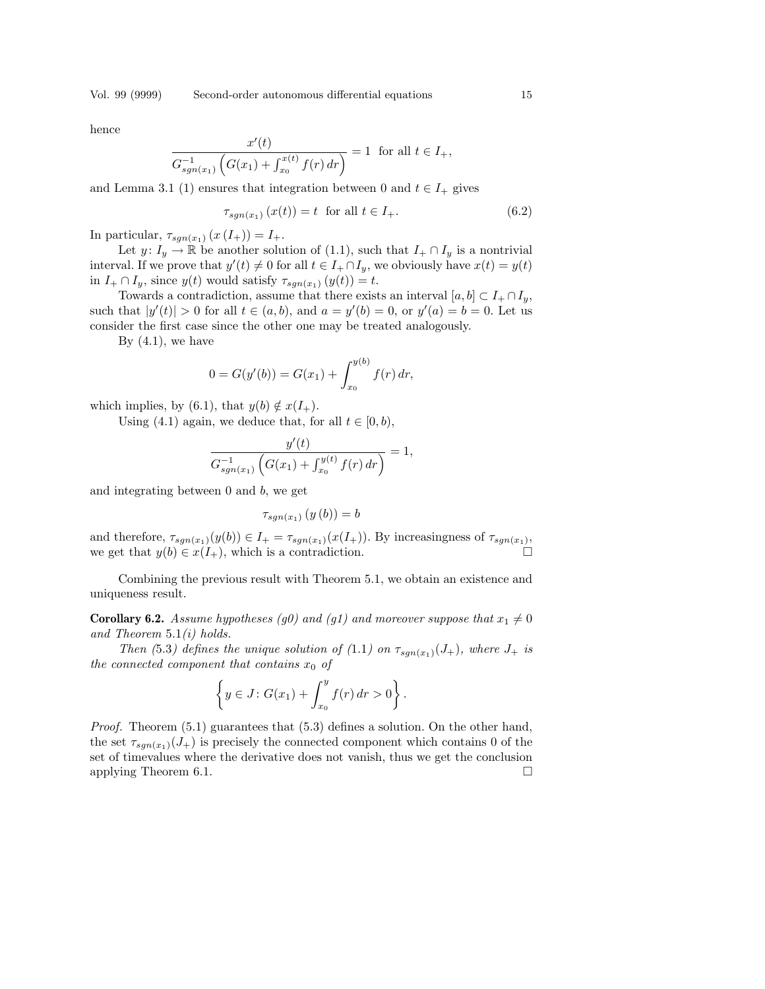Vol. 99 (9999) Second-order autonomous differential equations 15

hence

$$
\frac{x'(t)}{G_{sgn(x_1)}^{-1} \left( G(x_1) + \int_{x_0}^{x(t)} f(r) dr \right)} = 1 \text{ for all } t \in I_+,
$$

and Lemma 3.1 (1) ensures that integration between 0 and  $t \in I_+$  gives

$$
\tau_{sgn(x_1)}(x(t)) = t \quad \text{for all } t \in I_+.
$$
\n
$$
(6.2)
$$

In particular,  $\tau_{sgn(x_1)}(x(I_+))=I_+.$ 

Let  $y: I_y \to \mathbb{R}$  be another solution of (1.1), such that  $I_+ \cap I_y$  is a nontrivial interval. If we prove that  $y'(t) \neq 0$  for all  $t \in I_+ \cap I_y$ , we obviously have  $x(t) = y(t)$ in  $I_+ \cap I_y$ , since  $y(t)$  would satisfy  $\tau_{sgn(x_1)}(y(t)) = t$ .

Towards a contradiction, assume that there exists an interval  $[a, b] \subset I_+ \cap I_u$ , such that  $|y'(t)| > 0$  for all  $t \in (a, b)$ , and  $a = y'(b) = 0$ , or  $y'(a) = b = 0$ . Let us consider the first case since the other one may be treated analogously.

By  $(4.1)$ , we have

$$
0 = G(y'(b)) = G(x_1) + \int_{x_0}^{y(b)} f(r) dr,
$$

which implies, by (6.1), that  $y(b) \notin x(I_+).$ 

Using (4.1) again, we deduce that, for all  $t \in [0, b)$ ,

$$
\frac{y'(t)}{G_{sgn(x_1)}^{-1} \left( G(x_1) + \int_{x_0}^{y(t)} f(r) dr \right)} = 1,
$$

and integrating between 0 and b, we get

$$
\tau_{sgn(x_1)}\left(y\left(b\right)\right) = b
$$

and therefore,  $\tau_{sgn(x_1)}(y(b)) \in I_+ = \tau_{sgn(x_1)}(x(I_+))$ . By increasingness of  $\tau_{sgn(x_1)}$ , we get that  $y(b) \in x(I_+)$ , which is a contradiction.

Combining the previous result with Theorem 5.1, we obtain an existence and uniqueness result.

**Corollary 6.2.** Assume hypotheses (g0) and (g1) and moreover suppose that  $x_1 \neq 0$ and Theorem  $5.1(i)$  holds.

Then (5.3) defines the unique solution of (1.1) on  $\tau_{sgn(x_1)}(J_+)$ , where  $J_+$  is the connected component that contains  $x_0$  of

$$
\left\{ y \in J : G(x_1) + \int_{x_0}^y f(r) \, dr > 0 \right\}.
$$

Proof. Theorem (5.1) guarantees that (5.3) defines a solution. On the other hand, the set  $\tau_{sgn(x_1)}(J_+)$  is precisely the connected component which contains 0 of the set of timevalues where the derivative does not vanish, thus we get the conclusion applying Theorem 6.1.  $\Box$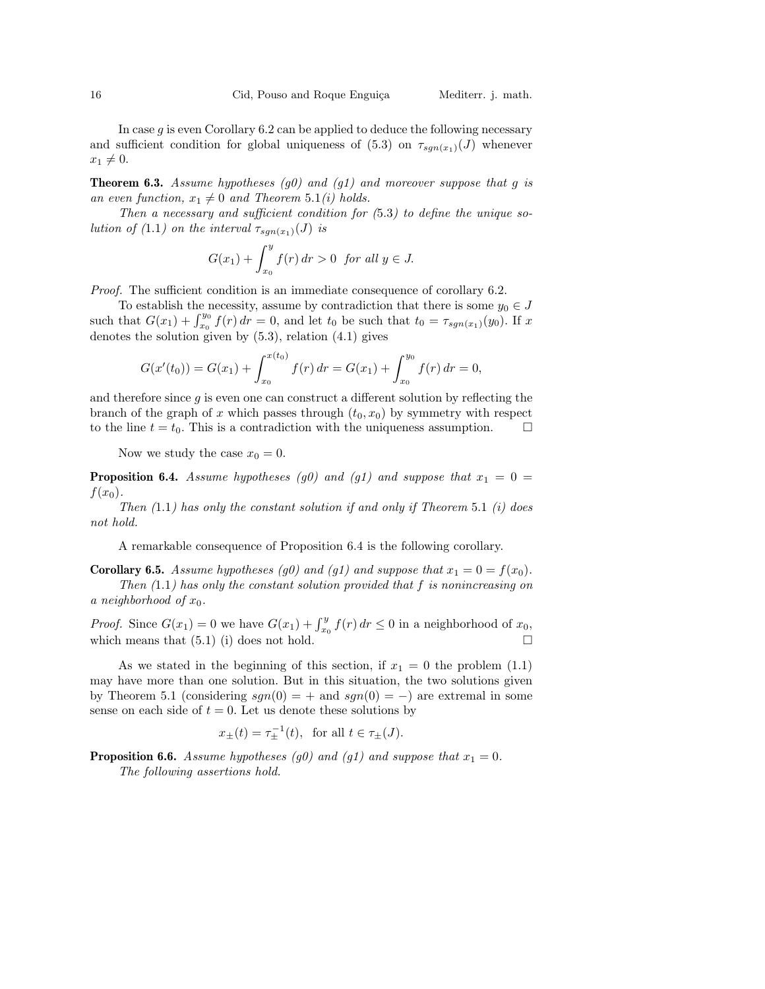In case  $g$  is even Corollary 6.2 can be applied to deduce the following necessary and sufficient condition for global uniqueness of (5.3) on  $\tau_{sgn(x_1)}(J)$  whenever  $x_1 \neq 0.$ 

**Theorem 6.3.** Assume hypotheses (g0) and (g1) and moreover suppose that g is an even function,  $x_1 \neq 0$  and Theorem 5.1(i) holds.

Then a necessary and sufficient condition for (5.3) to define the unique solution of (1.1) on the interval  $\tau_{sgn(x_1)}(J)$  is

$$
G(x_1) + \int_{x_0}^{y} f(r) dr > 0 \text{ for all } y \in J.
$$

Proof. The sufficient condition is an immediate consequence of corollary 6.2.

To establish the necessity, assume by contradiction that there is some  $y_0 \in J$ For establish the necessity, assume by contradiction that there is some  $y_0 \in J$ <br>such that  $G(x_1) + \int_{x_0}^{y_0} f(r) dr = 0$ , and let  $t_0$  be such that  $t_0 = \tau_{sgn(x_1)}(y_0)$ . If x denotes the solution given by  $(5.3)$ , relation  $(4.1)$  gives

$$
G(x'(t_0)) = G(x_1) + \int_{x_0}^{x(t_0)} f(r) dr = G(x_1) + \int_{x_0}^{y_0} f(r) dr = 0,
$$

and therefore since  $g$  is even one can construct a different solution by reflecting the branch of the graph of x which passes through  $(t_0, x_0)$  by symmetry with respect to the line  $t = t_0$ . This is a contradiction with the uniqueness assumption.  $\Box$ 

Now we study the case  $x_0 = 0$ .

**Proposition 6.4.** Assume hypotheses (g0) and (g1) and suppose that  $x_1 = 0$  =  $f(x_0)$ .

Then  $(1.1)$  has only the constant solution if and only if Theorem 5.1  $(i)$  does not hold.

A remarkable consequence of Proposition 6.4 is the following corollary.

**Corollary 6.5.** Assume hypotheses (g0) and (g1) and suppose that  $x_1 = 0 = f(x_0)$ . Then  $(1.1)$  has only the constant solution provided that f is nonincreasing on a neighborhood of  $x_0$ .

*Proof.* Since  $G(x_1) = 0$  we have  $G(x_1) + \int_{x_0}^{y} f(r) dr \le 0$  in a neighborhood of  $x_0$ , which means that  $(5.1)$  (i) does not hold.  $\overline{ }$ 

As we stated in the beginning of this section, if  $x_1 = 0$  the problem (1.1) may have more than one solution. But in this situation, the two solutions given by Theorem 5.1 (considering  $sgn(0) = +$  and  $sgn(0) = -$ ) are extremal in some sense on each side of  $t = 0$ . Let us denote these solutions by

$$
x_{\pm}(t) = \tau_{\pm}^{-1}(t), \text{ for all } t \in \tau_{\pm}(J).
$$

**Proposition 6.6.** Assume hypotheses (g0) and (g1) and suppose that  $x_1 = 0$ . The following assertions hold.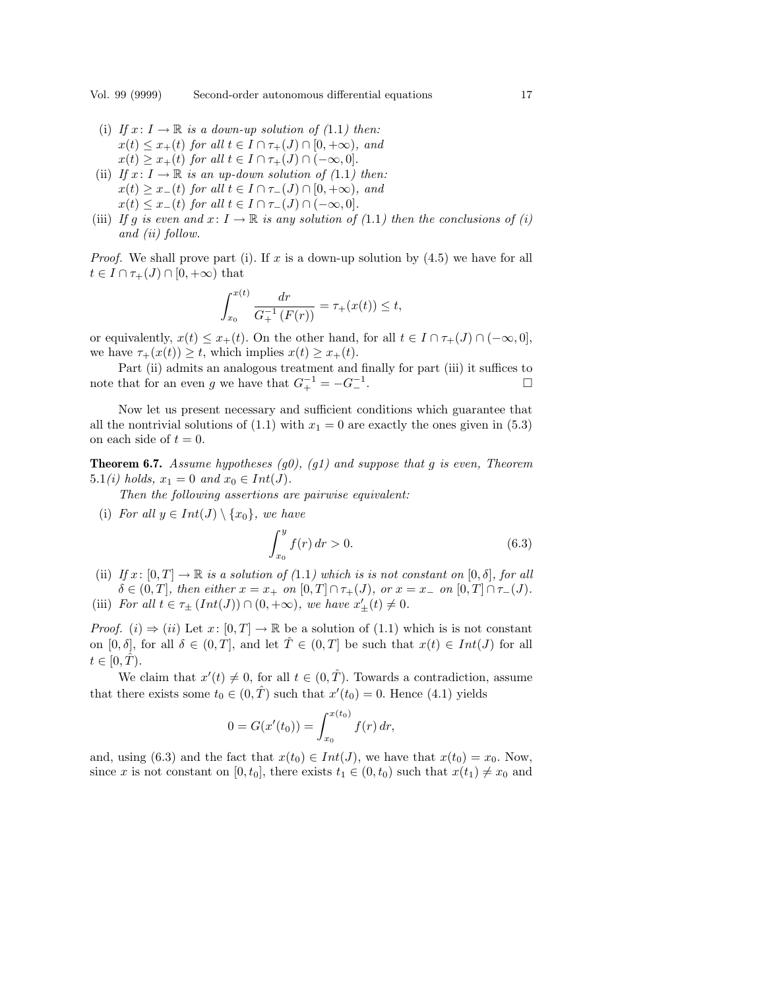- (i) If  $x: I \to \mathbb{R}$  is a down-up solution of (1.1) then:  $x(t) \leq x_+(t)$  for all  $t \in I \cap \tau_+(J) \cap [0,+\infty)$ , and  $x(t) \geq x_+(t)$  for all  $t \in I \cap \tau_+(J) \cap (-\infty, 0].$
- (ii) If  $x: I \to \mathbb{R}$  is an up-down solution of (1.1) then:  $x(t) \geq x_-(t)$  for all  $t \in I \cap \tau_-(J) \cap [0, +\infty)$ , and  $x(t) \leq x_-(t)$  for all  $t \in I \cap \tau_-(J) \cap (-\infty, 0].$
- (iii) If g is even and  $x: I \to \mathbb{R}$  is any solution of (1.1) then the conclusions of (i) and (ii) follow.

*Proof.* We shall prove part (i). If x is a down-up solution by  $(4.5)$  we have for all  $t \in I \cap \tau_+(J) \cap [0,+\infty)$  that

$$
\int_{x_0}^{x(t)} \frac{dr}{G_+^{-1}(F(r))} = \tau_+(x(t)) \le t,
$$

or equivalently,  $x(t) \leq x_+(t)$ . On the other hand, for all  $t \in I \cap \tau_+(J) \cap (-\infty,0],$ we have  $\tau_+(x(t)) \geq t$ , which implies  $x(t) \geq x_+(t)$ .

Part (ii) admits an analogous treatment and finally for part (iii) it suffices to note that for an even g we have that  $G_+^{-1} = -G_-^{-1}$  $\overline{\phantom{a}}$  .  $\overline{\phantom{a}}$ 

Now let us present necessary and sufficient conditions which guarantee that all the nontrivial solutions of (1.1) with  $x_1 = 0$  are exactly the ones given in (5.3) on each side of  $t = 0$ .

**Theorem 6.7.** Assume hypotheses (g0), (g1) and suppose that g is even, Theorem 5.1(*i*) holds,  $x_1 = 0$  and  $x_0 \in Int(J)$ .

Then the following assertions are pairwise equivalent:

(i) For all  $y \in Int(J) \setminus \{x_0\}$ , we have

$$
\int_{x_0}^{y} f(r) dr > 0.
$$
 (6.3)

- (ii) If  $x: [0, T] \to \mathbb{R}$  is a solution of  $(1.1)$  which is is not constant on  $[0, \delta]$ , for all  $\delta \in (0,T],$  then either  $x = x_+$  on  $[0,T] \cap \tau_+(J)$ , or  $x = x_-$  on  $[0,T] \cap \tau_-(J)$ .
- (iii) For all  $t \in \tau_{\pm}(Int(J)) \cap (0, +\infty)$ , we have  $x'_{\pm}(t) \neq 0$ .

*Proof.* (i)  $\Rightarrow$  (ii) Let x: [0, T]  $\rightarrow \mathbb{R}$  be a solution of (1.1) which is is not constant on  $[0, \delta]$ , for all  $\delta \in (0, T]$ , and let  $\hat{T} \in (0, T]$  be such that  $x(t) \in Int(J)$  for all  $t\in[0,\hat{T}).$ 

We claim that  $x'(t) \neq 0$ , for all  $t \in (0, \hat{T})$ . Towards a contradiction, assume that there exists some  $t_0 \in (0, \hat{T})$  such that  $x'(t_0) = 0$ . Hence (4.1) yields

$$
0 = G(x'(t_0)) = \int_{x_0}^{x(t_0)} f(r) dr,
$$

and, using (6.3) and the fact that  $x(t_0) \in Int(J)$ , we have that  $x(t_0) = x_0$ . Now, since x is not constant on [0,  $t_0$ ], there exists  $t_1 \in (0, t_0)$  such that  $x(t_1) \neq x_0$  and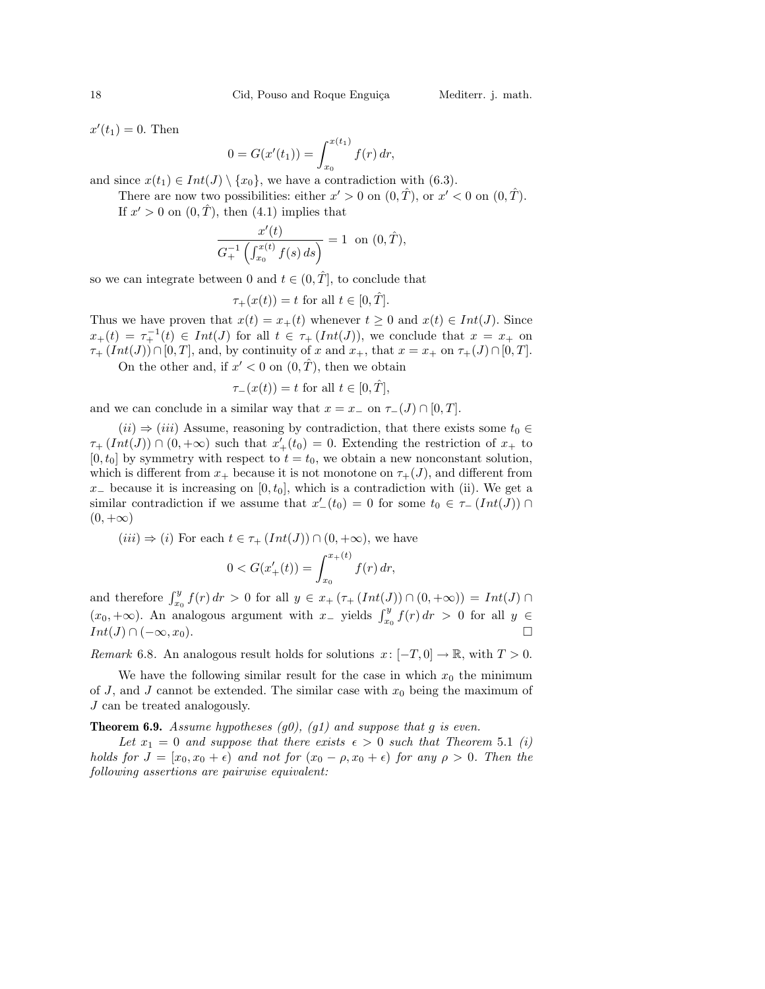$x'(t_1) = 0$ . Then

$$
0 = G(x'(t_1)) = \int_{x_0}^{x(t_1)} f(r) dr,
$$

and since  $x(t_1) \in Int(J) \setminus \{x_0\}$ , we have a contradiction with (6.3).

There are now two possibilities: either  $x' > 0$  on  $(0, \hat{T})$ , or  $x' < 0$  on  $(0, \hat{T})$ . If  $x' > 0$  on  $(0, \hat{T})$ , then  $(4.1)$  implies that

$$
\frac{x'(t)}{G_+^{-1}\left(\int_{x_0}^{x(t)} f(s) \, ds\right)} = 1 \text{ on } (0, \hat{T}),
$$

so we can integrate between 0 and  $t \in (0, \hat{T}]$ , to conclude that

$$
\tau_+(x(t)) = t \text{ for all } t \in [0, \hat{T}].
$$

Thus we have proven that  $x(t) = x_+(t)$  whenever  $t \geq 0$  and  $x(t) \in Int(J)$ . Since  $x_+(t) = \tau_+^{-1}(t) \in Int(J)$  for all  $t \in \tau_+$   $(Int(J))$ , we conclude that  $x = x_+$  on  $\tau_+$  (Int(J))∩[0,T], and, by continuity of x and  $x_+$ , that  $x = x_+$  on  $\tau_+(J) \cap [0, T]$ . On the other and, if  $x' < 0$  on  $(0, \hat{T})$ , then we obtain

$$
\tau_-(x(t)) = t \text{ for all } t \in [0, \hat{T}],
$$

and we can conclude in a similar way that  $x = x_-\,$  on  $\tau_-(J) \cap [0,T]$ .

 $(ii) \Rightarrow (iii)$  Assume, reasoning by contradiction, that there exists some  $t_0 \in$  $\tau_{+}(Int(J)) \cap (0, +\infty)$  such that  $x'_{+}(t_0) = 0$ . Extending the restriction of  $x_{+}$  to  $[0, t_0]$  by symmetry with respect to  $t = t_0$ , we obtain a new nonconstant solution, which is different from  $x_+$  because it is not monotone on  $\tau_+(J)$ , and different from  $x_$  because it is increasing on [0,  $t_0$ ], which is a contradiction with (ii). We get a similar contradiction if we assume that  $x'_{-}(t_0) = 0$  for some  $t_0 \in \tau_{-}(Int(J)) \cap$  $(0, +\infty)$ 

 $(iii) \Rightarrow (i)$  For each  $t \in \tau_+$   $(Int(J)) \cap (0, +\infty)$ , we have

$$
0 < G(x'_{+}(t)) = \int_{x_0}^{x_{+}(t)} f(r) \, dr,
$$

and therefore  $\int_{x_0}^y f(r) dr > 0$  for all  $y \in x_+ (\tau_+ (Int(J)) \cap (0, +\infty)) = Int(J) \cap$  $(x_0, +\infty)$ . An analogous argument with  $x_$  yields  $\int_{x_0}^{y} f(r) dr > 0$  for all  $y \in$  $Int(J) \cap (-\infty, x_0).$ 

Remark 6.8. An analogous result holds for solutions  $x: [-T, 0] \to \mathbb{R}$ , with  $T > 0$ .

We have the following similar result for the case in which  $x_0$  the minimum of J, and J cannot be extended. The similar case with  $x_0$  being the maximum of J can be treated analogously.

**Theorem 6.9.** Assume hypotheses  $(g0)$ ,  $(g1)$  and suppose that g is even.

Let  $x_1 = 0$  and suppose that there exists  $\epsilon > 0$  such that Theorem 5.1 (i) holds for  $J = [x_0, x_0 + \epsilon)$  and not for  $(x_0 - \rho, x_0 + \epsilon)$  for any  $\rho > 0$ . Then the following assertions are pairwise equivalent: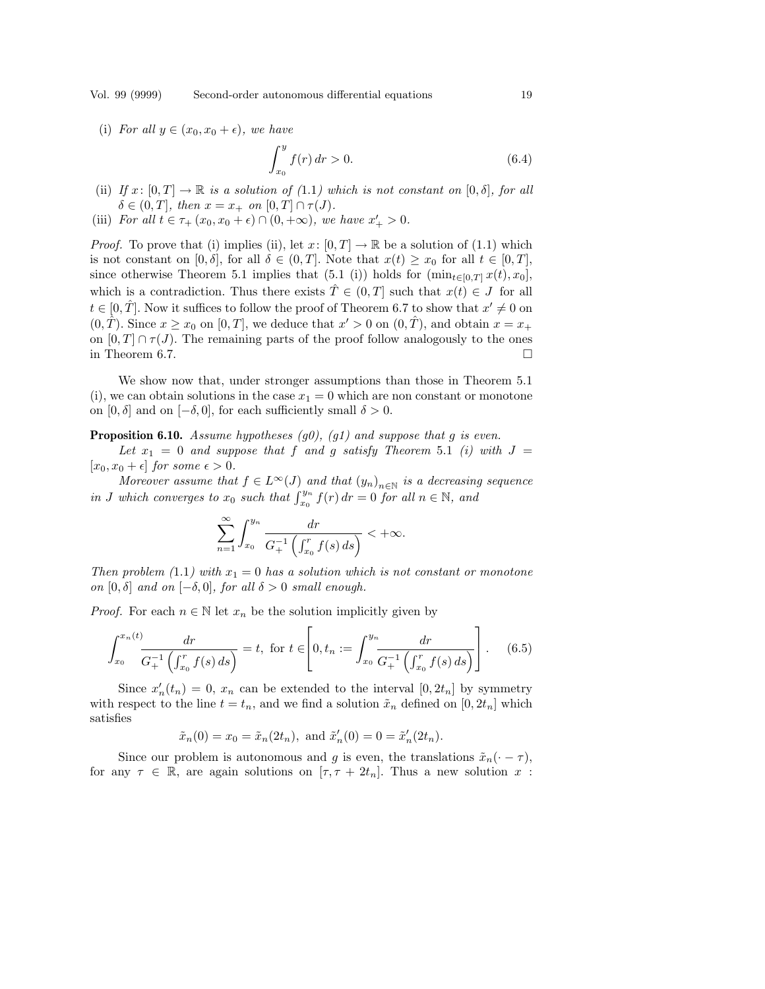Vol. 99 (9999) Second-order autonomous differential equations 19

(i) For all  $y \in (x_0, x_0 + \epsilon)$ , we have

$$
\int_{x_0}^{y} f(r) dr > 0.
$$
 (6.4)

- (ii) If  $x: [0, T] \to \mathbb{R}$  is a solution of  $(1.1)$  which is not constant on  $[0, \delta]$ , for all  $\delta \in (0, T], \text{ then } x = x_+ \text{ on } [0, T] \cap \tau(J).$
- (iii) For all  $t \in \tau_+(x_0, x_0 + \epsilon) \cap (0, +\infty)$ , we have  $x'_+ > 0$ .

*Proof.* To prove that (i) implies (ii), let  $x: [0, T] \to \mathbb{R}$  be a solution of (1.1) which is not constant on  $[0, \delta]$ , for all  $\delta \in (0, T]$ . Note that  $x(t) \geq x_0$  for all  $t \in [0, T]$ , since otherwise Theorem 5.1 implies that (5.1 (i)) holds for  $(\min_{t\in[0,T]} x(t), x_0]$ , which is a contradiction. Thus there exists  $\hat{T} \in (0,T]$  such that  $x(t) \in J$  for all  $t \in [0, \hat{T}]$ . Now it suffices to follow the proof of Theorem 6.7 to show that  $x' \neq 0$  on  $(0, \hat{T})$ . Since  $x \geq x_0$  on  $[0, T]$ , we deduce that  $x' > 0$  on  $(0, \hat{T})$ , and obtain  $x = x_+$ on  $[0, T] \cap \tau(J)$ . The remaining parts of the proof follow analogously to the ones in Theorem 6.7.  $\Box$ 

We show now that, under stronger assumptions than those in Theorem 5.1 (i), we can obtain solutions in the case  $x_1 = 0$  which are non constant or monotone on  $[0, \delta]$  and on  $[-\delta, 0]$ , for each sufficiently small  $\delta > 0$ .

**Proposition 6.10.** Assume hypotheses  $(g0)$ ,  $(g1)$  and suppose that g is even.

Let  $x_1 = 0$  and suppose that f and g satisfy Theorem 5.1 (i) with  $J =$  $[x_0, x_0 + \epsilon]$  for some  $\epsilon > 0$ .

Moreover assume that  $f \in L^{\infty}(J)$  and that  $(y_n)_{n \in \mathbb{N}}$  is a decreasing sequence in J which converges to  $x_0$  such that  $\int_{x_0}^{y_n} f(r) dr = 0$  for all  $n \in \mathbb{N}$ , and

$$
\sum_{n=1}^{\infty} \int_{x_0}^{y_n} \frac{dr}{G_+^{-1} \left( \int_{x_0}^r f(s) \, ds \right)} < +\infty.
$$

Then problem (1.1) with  $x_1 = 0$  has a solution which is not constant or monotone on  $[0, \delta]$  and on  $[-\delta, 0]$ , for all  $\delta > 0$  small enough.

*Proof.* For each  $n \in \mathbb{N}$  let  $x_n$  be the solution implicitly given by

$$
\int_{x_0}^{x_n(t)} \frac{dr}{G_+^{-1} \left( \int_{x_0}^r f(s) \, ds \right)} = t, \text{ for } t \in \left[ 0, t_n := \int_{x_0}^{y_n} \frac{dr}{G_+^{-1} \left( \int_{x_0}^r f(s) \, ds \right)} \right]. \tag{6.5}
$$

Since  $x'_n(t_n) = 0$ ,  $x_n$  can be extended to the interval  $[0, 2t_n]$  by symmetry with respect to the line  $t = t_n$ , and we find a solution  $\tilde{x}_n$  defined on  $[0, 2t_n]$  which satisfies

$$
\tilde{x}_n(0) = x_0 = \tilde{x}_n(2t_n)
$$
, and  $\tilde{x}'_n(0) = 0 = \tilde{x}'_n(2t_n)$ .

Since our problem is autonomous and g is even, the translations  $\tilde{x}_n(\cdot - \tau)$ , for any  $\tau \in \mathbb{R}$ , are again solutions on  $[\tau, \tau + 2t_n]$ . Thus a new solution x: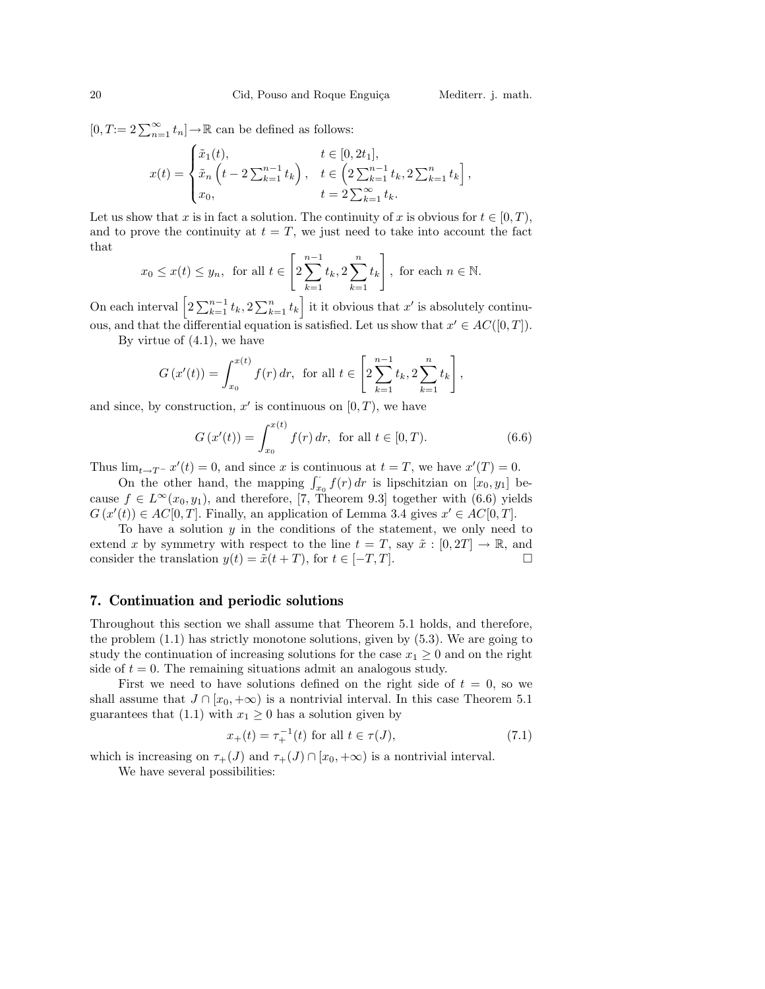$[0, T := 2 \sum_{n=1}^{\infty} t_n] \rightarrow \mathbb{R}$  can be defined as follows:

$$
x(t) = \begin{cases} \tilde{x}_1(t), & t \in [0, 2t_1], \\ \tilde{x}_n(t) - 2\sum_{k=1}^{n-1} t_k, & t \in \left(2\sum_{k=1}^{n-1} t_k, 2\sum_{k=1}^n t_k\right], \\ x_0, & t = 2\sum_{k=1}^{\infty} t_k. \end{cases}
$$

Let us show that x is in fact a solution. The continuity of x is obvious for  $t \in [0, T)$ , and to prove the continuity at  $t = T$ , we just need to take into account the fact that .<br> $\overline{r}$ 1

$$
x_0 \leq x(t) \leq y_n
$$
, for all  $t \in \left[2\sum_{k=1}^{n-1} t_k, 2\sum_{k=1}^n t_k\right]$ , for each  $n \in \mathbb{N}$ .

On each interval  $\left[2\sum_{k=1}^{n-1}t_k, 2\sum_{k=1}^{n}t_k\right]$ it it obvious that  $x'$  is absolutely continuous, and that the differential equation is satisfied. Let us show that  $x' \in AC([0,T])$ .

By virtue of  $(4.1)$ , we have

$$
G(x'(t)) = \int_{x_0}^{x(t)} f(r) dr, \text{ for all } t \in \left[2 \sum_{k=1}^{n-1} t_k, 2 \sum_{k=1}^n t_k\right],
$$

and since, by construction,  $x'$  is continuous on  $[0, T)$ , we have

$$
G(x'(t)) = \int_{x_0}^{x(t)} f(r) dr, \text{ for all } t \in [0, T). \tag{6.6}
$$

Thus  $\lim_{t\to T^-} x'(t) = 0$ , and since x is continuous at  $t = T$ , we have  $x'(T) = 0$ .

on the other hand, the mapping  $\int_{x_0}^{\cdot} f(r) dr$  is lipschitzian on  $[x_0, y_1]$  because  $f \in L^{\infty}(x_0, y_1)$ , and therefore, [7, Theorem 9.3] together with (6.6) yields  $G(x'(t)) \in AC[0,T]$ . Finally, an application of Lemma 3.4 gives  $x' \in AC[0,T]$ .

To have a solution  $y$  in the conditions of the statement, we only need to extend x by symmetry with respect to the line  $t = T$ , say  $\tilde{x} : [0, 2T] \rightarrow \mathbb{R}$ , and consider the translation  $y(t) = \tilde{x}(t + T)$ , for  $t \in [-T, T]$ .

# 7. Continuation and periodic solutions

Throughout this section we shall assume that Theorem 5.1 holds, and therefore, the problem (1.1) has strictly monotone solutions, given by (5.3). We are going to study the continuation of increasing solutions for the case  $x_1 \geq 0$  and on the right side of  $t = 0$ . The remaining situations admit an analogous study.

First we need to have solutions defined on the right side of  $t = 0$ , so we shall assume that  $J \cap [x_0, +\infty)$  is a nontrivial interval. In this case Theorem 5.1 guarantees that (1.1) with  $x_1 \geq 0$  has a solution given by

$$
x_{+}(t) = \tau_{+}^{-1}(t) \text{ for all } t \in \tau(J), \tag{7.1}
$$

which is increasing on  $\tau_+(J)$  and  $\tau_+(J) \cap [x_0, +\infty)$  is a nontrivial interval.

We have several possibilities: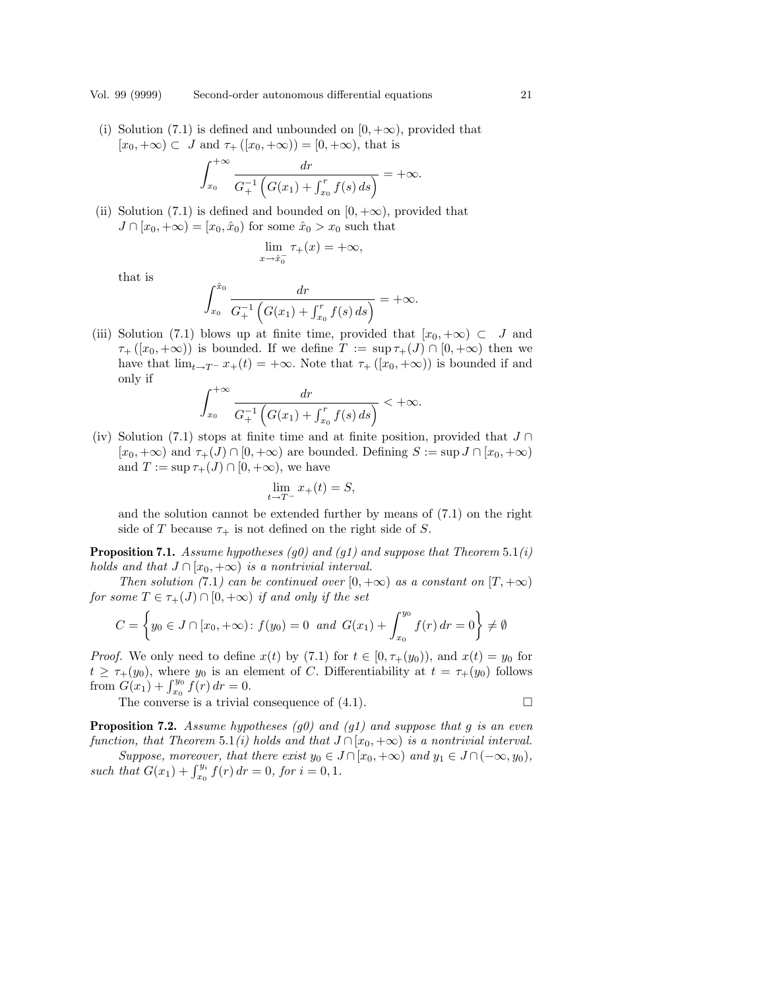(i) Solution (7.1) is defined and unbounded on  $[0, +\infty)$ , provided that  $[x_0, +\infty) \subset J$  and  $\tau_+([x_0, +\infty)) = [0, +\infty)$ , that is

$$
\int_{x_0}^{+\infty} \frac{dr}{G_+^{-1} (G(x_1) + \int_{x_0}^r f(s) ds)} = +\infty.
$$

(ii) Solution (7.1) is defined and bounded on  $[0, +\infty)$ , provided that  $J \cap [x_0, +\infty) = [x_0, \hat{x}_0)$  for some  $\hat{x}_0 > x_0$  such that

$$
\lim_{x \to \hat{x}_0^-} \tau_+(x) = +\infty,
$$

that is

$$
\int_{x_0}^{\hat{x}_0} \frac{dr}{G_+^{-1} \left( G(x_1) + \int_{x_0}^r f(s) \, ds \right)} = +\infty.
$$

(iii) Solution (7.1) blows up at finite time, provided that  $[x_0, +\infty) \subset J$  and  $\tau_{+}([x_0, +\infty))$  is bounded. If we define  $T := \sup \tau_{+}(J) \cap [0, +\infty)$  then we have that  $\lim_{t\to T^-} x_+(t) = +\infty$ . Note that  $\tau_+([x_0, +\infty))$  is bounded if and only if  $r + \infty$ 

$$
\int_{x_0}^{+\infty} \frac{dr}{G_+^{-1} (G(x_1) + \int_{x_0}^r f(s) ds)} < +\infty.
$$

(iv) Solution (7.1) stops at finite time and at finite position, provided that  $J \cap$  $[x_0, +\infty)$  and  $\tau_+(J) \cap [0, +\infty)$  are bounded. Defining  $S := \sup J \cap [x_0, +\infty)$ and  $T := \sup \tau_{+}(J) \cap [0, +\infty)$ , we have

$$
\lim_{t \to T^-} x_+(t) = S,
$$

and the solution cannot be extended further by means of (7.1) on the right side of T because  $\tau_+$  is not defined on the right side of S.

**Proposition 7.1.** Assume hypotheses (g0) and (g1) and suppose that Theorem 5.1(i) holds and that  $J \cap [x_0, +\infty)$  is a nontrivial interval.

Then solution (7.1) can be continued over  $[0, +\infty)$  as a constant on  $[T, +\infty)$  $for some T \in \tau_+(J) \cap [0,+\infty) \text{ if and only if the set}$ 

$$
C = \left\{ y_0 \in J \cap [x_0, +\infty) : f(y_0) = 0 \text{ and } G(x_1) + \int_{x_0}^{y_0} f(r) dr = 0 \right\} \neq \emptyset
$$

*Proof.* We only need to define  $x(t)$  by (7.1) for  $t \in [0, \tau_+(y_0))$ , and  $x(t) = y_0$  for  $t \geq \tau_+(y_0)$ , where  $y_0$  is an element of C. Differentiability at  $t = \tau_+(y_0)$  follows  $t \geq \tau_{+}(y_{0}),$  where  $y_{0}$  is an express to  $G(x_{1}) + \int_{x_{0}}^{y_{0}} f(r) dr = 0.$ 

The converse is a trivial consequence of  $(4.1)$ .

**Proposition 7.2.** Assume hypotheses  $(g0)$  and  $(g1)$  and suppose that g is an even function, that Theorem 5.1(i) holds and that  $J \cap [x_0, +\infty)$  is a nontrivial interval. Suppose, moreover, that there exist  $y_0 \in J \cap [x_0, +\infty)$  and  $y_1 \in J \cap (-\infty, y_0)$ ,

suppose, moreover, that there exist  $y_0 \in J$ <br>such that  $G(x_1) + \int_{x_0}^{y_i} f(r) dr = 0$ , for  $i = 0, 1$ .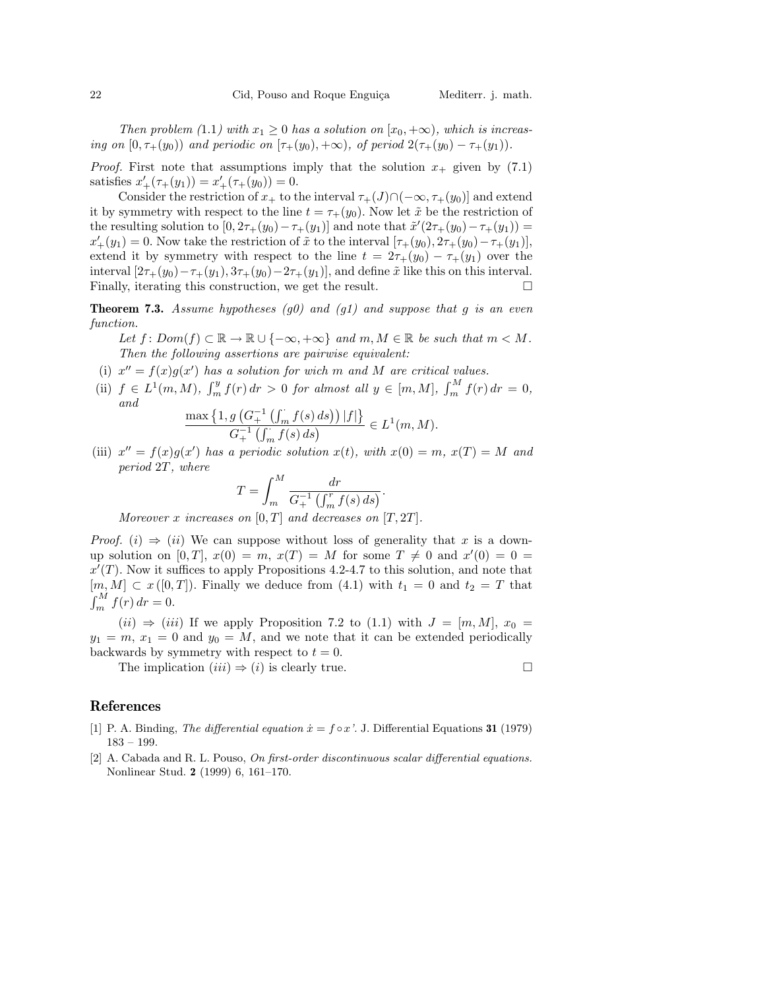Then problem (1.1) with  $x_1 \geq 0$  has a solution on  $[x_0, +\infty)$ , which is increasing on  $[0, \tau_+(y_0))$  and periodic on  $[\tau_+(y_0), +\infty)$ , of period  $2(\tau_+(y_0) - \tau_+(y_1)).$ 

*Proof.* First note that assumptions imply that the solution  $x_+$  given by (7.1) satisfies  $x'_{+}(\tau_{+}(y_1)) = x'_{+}(\tau_{+}(y_0)) = 0.$ 

Consider the restriction of  $x_+$  to the interval  $\tau_+(J)\cap(-\infty,\tau_+(y_0)]$  and extend it by symmetry with respect to the line  $t = \tau_+(y_0)$ . Now let  $\tilde{x}$  be the restriction of the resulting solution to  $[0, 2\tau_+(y_0) - \tau_+(y_1)]$  and note that  $\tilde{x}'(2\tau_+(y_0) - \tau_+(y_1)) =$  $x'_{+}(y_1) = 0$ . Now take the restriction of  $\tilde{x}$  to the interval  $[\tau_{+}(y_0), 2\tau_{+}(y_0) - \tau_{+}(y_1)],$ extend it by symmetry with respect to the line  $t = 2\tau_+(y_0) - \tau_+(y_1)$  over the interval  $[2\tau_+(y_0)-\tau_+(y_1), 3\tau_+(y_0)-2\tau_+(y_1)]$ , and define  $\tilde{x}$  like this on this interval. Finally, iterating this construction, we get the result.  $\Box$ 

**Theorem 7.3.** Assume hypotheses (g0) and (g1) and suppose that g is an even function.

Let  $f: Dom(f) \subset \mathbb{R} \to \mathbb{R} \cup \{-\infty, +\infty\}$  and  $m, M \in \mathbb{R}$  be such that  $m \lt M$ . Then the following assertions are pairwise equivalent:

- (i)  $x'' = f(x)g(x')$  has a solution for wich m and M are critical values.
- (ii)  $f \in L^1(m, M)$ ,  $\int_m^y$  $\int_{m}^{y} f(r) dr > 0$  for almost all  $y \in [m, M]$ ,  $\int_{m}^{M} f(r) dr$  $\int_{m}^{m} f(r) dr = 0,$ and  $\max \big\{$  $1, g$  (  $\overline{r}$  $f(s) ds$ <sup> $||f||$ </sup> ª

$$
\frac{\max\left\{1, g\left(G_{+}^{-1}\left(\int_{m}^{+} f(s) ds\right)\right) |f|\right\}}{G_{+}^{-1}\left(\int_{m}^{+} f(s) ds\right)} \in L^{1}(m, M).
$$

(iii)  $x'' = f(x)g(x')$  has a periodic solution  $x(t)$ , with  $x(0) = m$ ,  $x(T) = M$  and period 2T, where

$$
T = \int_{m}^{M} \frac{dr}{G_{+}^{-1} \left( \int_{m}^{T} f(s) \, ds \right)}.
$$

Moreover x increases on  $[0, T]$  and decreases on  $[T, 2T]$ .

*Proof.* (i)  $\Rightarrow$  (ii) We can suppose without loss of generality that x is a downup solution on [0, T],  $x(0) = m$ ,  $x(T) = M$  for some  $T \neq 0$  and  $x'(0) = 0$  $x'(T)$ . Now it suffices to apply Propositions 4.2-4.7 to this solution, and note that  $[m, M] \subset x([0, T])$ . Finally we deduce from (4.1) with  $t_1 = 0$  and  $t_2 = T$  that  $\int_{\mathbf{r}}^{n\ell} M$  $\int_{m}^{m} f(r) dr = 0.$ 

 $(ii) \Rightarrow (iii)$  If we apply Proposition 7.2 to  $(1.1)$  with  $J = [m, M], x_0 =$  $y_1 = m, x_1 = 0$  and  $y_0 = M$ , and we note that it can be extended periodically backwards by symmetry with respect to  $t = 0$ .

The implication  $(iii) \Rightarrow (i)$  is clearly true.

# References

- [1] P. A. Binding, The differential equation  $\dot{x} = f \circ x'$ . J. Differential Equations 31 (1979) 183 – 199.
- [2] A. Cabada and R. L. Pouso, On first-order discontinuous scalar differential equations. Nonlinear Stud. 2 (1999) 6, 161–170.